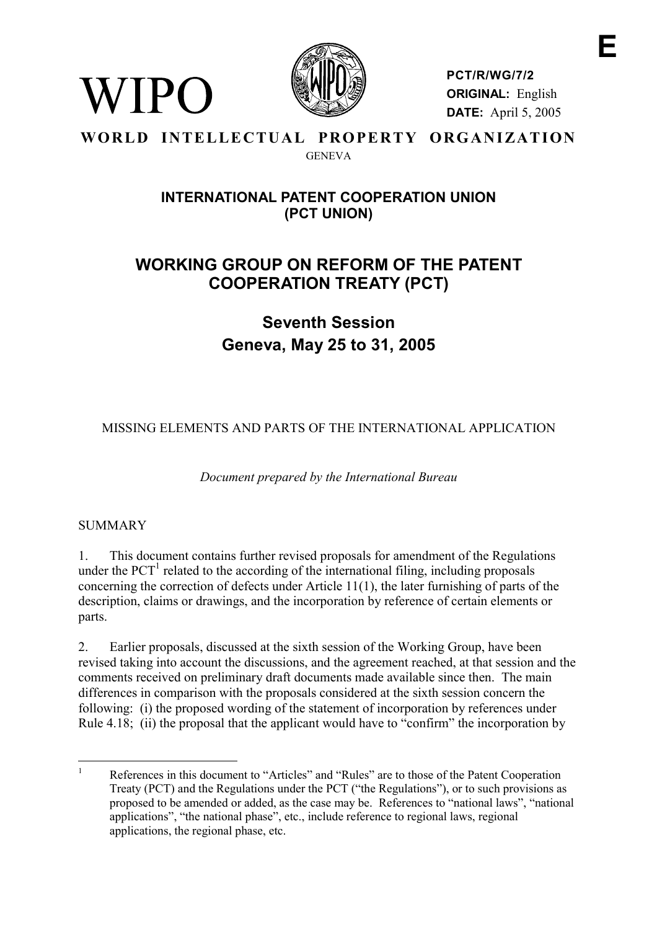

**PCT/R/WG/7/2 ORIGINAL:** English **DATE:** April 5, 2005

### **WORLD INTELLECTUAL PROPERTY ORGANIZATION GENEVA**

## **INTERNATIONAL PATENT COOPERATION UNION (PCT UNION)**

# **WORKING GROUP ON REFORM OF THE PATENT COOPERATION TREATY (PCT)**

**Seventh Session Geneva, May 25 to 31, 2005**

MISSING ELEMENTS AND PARTS OF THE INTERNATIONAL APPLICATION

*Document prepared by the International Bureau*

## **SUMMARY**

WIPO

1. This document contains further revised proposals for amendment of the Regulations under the  $PCT<sup>1</sup>$  related to the according of the international filing, including proposals concerning the correction of defects under Article 11(1), the later furnishing of parts of the description, claims or drawings, and the incorporation by reference of certain elements or parts.

2. Earlier proposals, discussed at the sixth session of the Working Group, have been revised taking into account the discussions, and the agreement reached, at that session and the comments received on preliminary draft documents made available since then. The main differences in comparison with the proposals considered at the sixth session concern the following: (i) the proposed wording of the statement of incorporation by references under Rule 4.18; (ii) the proposal that the applicant would have to "confirm" the incorporation by

 $\frac{1}{1}$  References in this document to "Articles" and "Rules" are to those of the Patent Cooperation Treaty (PCT) and the Regulations under the PCT ("the Regulations"), or to such provisions as proposed to be amended or added, as the case may be. References to "national laws", "national applications", "the national phase", etc., include reference to regional laws, regional applications, the regional phase, etc.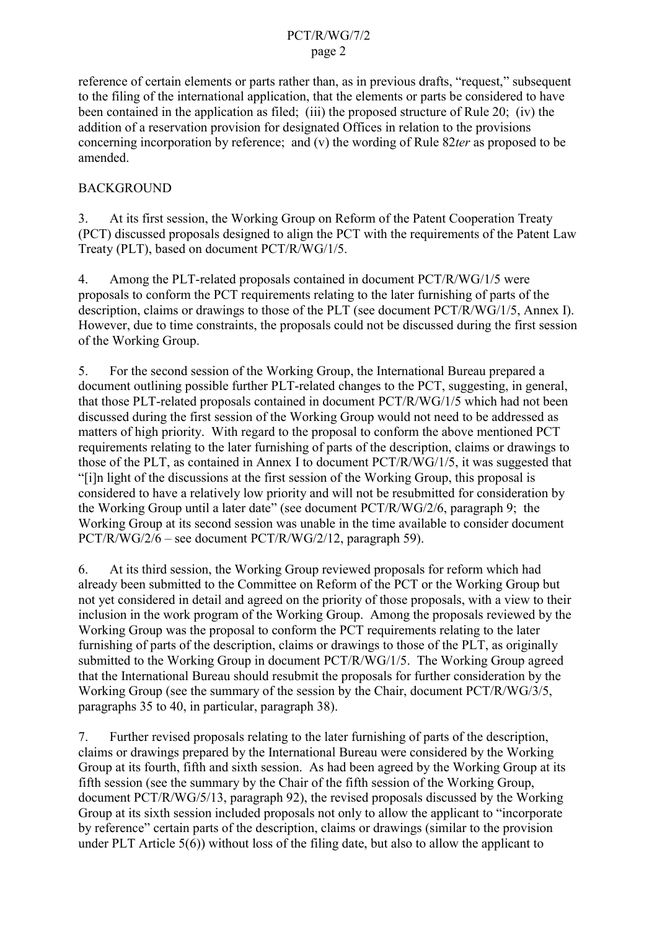#### PCT/R/WG/7/2 page 2

reference of certain elements or parts rather than, as in previous drafts, "request," subsequent to the filing of the international application, that the elements or parts be considered to have been contained in the application as filed; (iii) the proposed structure of Rule 20; (iv) the addition of a reservation provision for designated Offices in relation to the provisions concerning incorporation by reference; and (v) the wording of Rule 82*ter* as proposed to be amended.

## BACKGROUND

3. At its first session, the Working Group on Reform of the Patent Cooperation Treaty (PCT) discussed proposals designed to align the PCT with the requirements of the Patent Law Treaty (PLT), based on document PCT/R/WG/1/5.

4. Among the PLT-related proposals contained in document PCT/R/WG/1/5 were proposals to conform the PCT requirements relating to the later furnishing of parts of the description, claims or drawings to those of the PLT (see document PCT/R/WG/1/5, Annex I). However, due to time constraints, the proposals could not be discussed during the first session of the Working Group.

5. For the second session of the Working Group, the International Bureau prepared a document outlining possible further PLT-related changes to the PCT, suggesting, in general, that those PLT-related proposals contained in document PCT/R/WG/1/5 which had not been discussed during the first session of the Working Group would not need to be addressed as matters of high priority. With regard to the proposal to conform the above mentioned PCT requirements relating to the later furnishing of parts of the description, claims or drawings to those of the PLT, as contained in Annex I to document PCT/R/WG/1/5, it was suggested that "[i]n light of the discussions at the first session of the Working Group, this proposal is considered to have a relatively low priority and will not be resubmitted for consideration by the Working Group until a later date" (see document PCT/R/WG/2/6, paragraph 9; the Working Group at its second session was unable in the time available to consider document PCT/R/WG/2/6 – see document PCT/R/WG/2/12, paragraph 59).

6. At its third session, the Working Group reviewed proposals for reform which had already been submitted to the Committee on Reform of the PCT or the Working Group but not yet considered in detail and agreed on the priority of those proposals, with a view to their inclusion in the work program of the Working Group. Among the proposals reviewed by the Working Group was the proposal to conform the PCT requirements relating to the later furnishing of parts of the description, claims or drawings to those of the PLT, as originally submitted to the Working Group in document PCT/R/WG/1/5. The Working Group agreed that the International Bureau should resubmit the proposals for further consideration by the Working Group (see the summary of the session by the Chair, document PCT/R/WG/3/5, paragraphs 35 to 40, in particular, paragraph 38).

7. Further revised proposals relating to the later furnishing of parts of the description, claims or drawings prepared by the International Bureau were considered by the Working Group at its fourth, fifth and sixth session. As had been agreed by the Working Group at its fifth session (see the summary by the Chair of the fifth session of the Working Group, document PCT/R/WG/5/13, paragraph 92), the revised proposals discussed by the Working Group at its sixth session included proposals not only to allow the applicant to "incorporate by reference" certain parts of the description, claims or drawings (similar to the provision under PLT Article  $5(6)$ ) without loss of the filing date, but also to allow the applicant to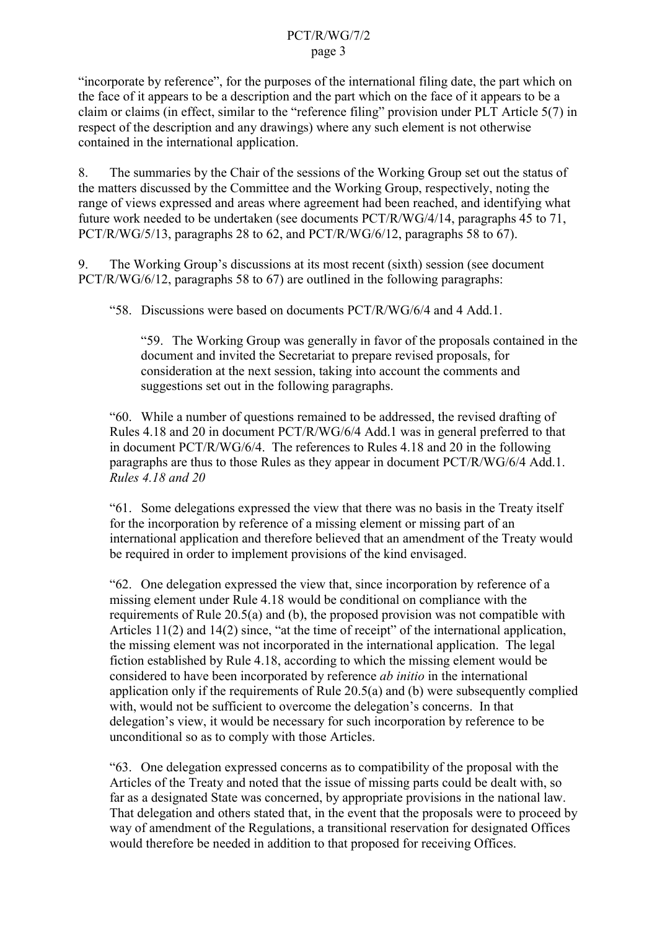#### PCT/R/WG/7/2 page 3

"incorporate by reference", for the purposes of the international filing date, the part which on the face of it appears to be a description and the part which on the face of it appears to be a claim or claims (in effect, similar to the "reference filing" provision under PLT Article 5(7) in respect of the description and any drawings) where any such element is not otherwise contained in the international application.

8. The summaries by the Chair of the sessions of the Working Group set out the status of the matters discussed by the Committee and the Working Group, respectively, noting the range of views expressed and areas where agreement had been reached, and identifying what future work needed to be undertaken (see documents PCT/R/WG/4/14, paragraphs 45 to 71, PCT/R/WG/5/13, paragraphs 28 to 62, and PCT/R/WG/6/12, paragraphs 58 to 67).

9. The Working Group's discussions at its most recent (sixth) session (see document PCT/R/WG/6/12, paragraphs 58 to 67) are outlined in the following paragraphs:

"58. Discussions were based on documents PCT/R/WG/6/4 and 4 Add.1.

"59. The Working Group was generally in favor of the proposals contained in the document and invited the Secretariat to prepare revised proposals, for consideration at the next session, taking into account the comments and suggestions set out in the following paragraphs.

"60. While a number of questions remained to be addressed, the revised drafting of Rules 4.18 and 20 in document PCT/R/WG/6/4 Add.1 was in general preferred to that in document PCT/R/WG/6/4. The references to Rules 4.18 and 20 in the following paragraphs are thus to those Rules as they appear in document PCT/R/WG/6/4 Add.1. *Rules 4.18 and 20*

"61. Some delegations expressed the view that there was no basis in the Treaty itself for the incorporation by reference of a missing element or missing part of an international application and therefore believed that an amendment of the Treaty would be required in order to implement provisions of the kind envisaged.

"62. One delegation expressed the view that, since incorporation by reference of a missing element under Rule 4.18 would be conditional on compliance with the requirements of Rule 20.5(a) and (b), the proposed provision was not compatible with Articles 11(2) and 14(2) since, "at the time of receipt" of the international application, the missing element was not incorporated in the international application. The legal fiction established by Rule 4.18, according to which the missing element would be considered to have been incorporated by reference *ab initio* in the international application only if the requirements of Rule 20.5(a) and (b) were subsequently complied with, would not be sufficient to overcome the delegation's concerns. In that delegation's view, it would be necessary for such incorporation by reference to be unconditional so as to comply with those Articles.

"63. One delegation expressed concerns as to compatibility of the proposal with the Articles of the Treaty and noted that the issue of missing parts could be dealt with, so far as a designated State was concerned, by appropriate provisions in the national law. That delegation and others stated that, in the event that the proposals were to proceed by way of amendment of the Regulations, a transitional reservation for designated Offices would therefore be needed in addition to that proposed for receiving Offices.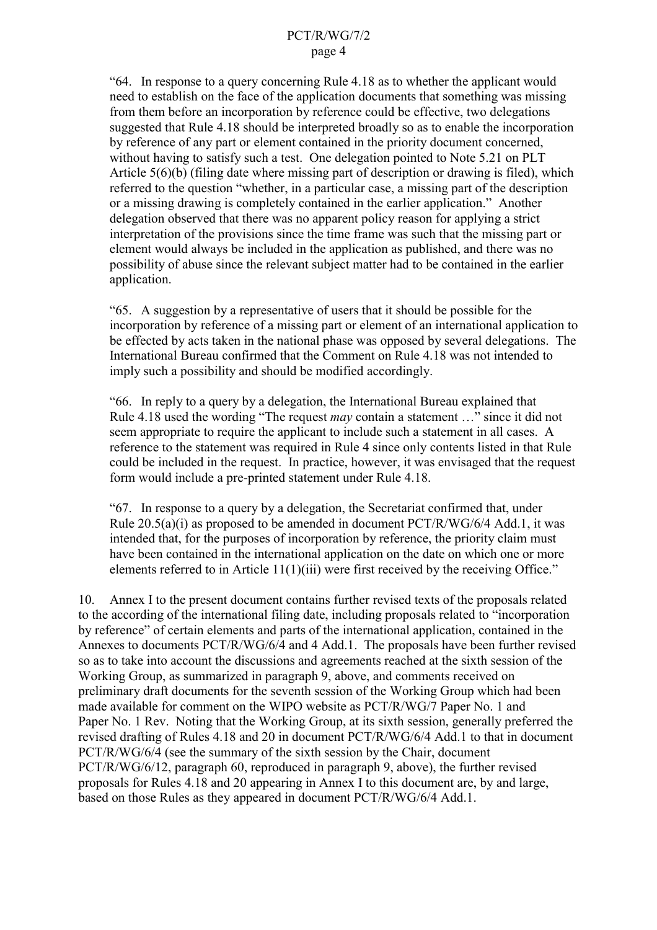"64. In response to a query concerning Rule 4.18 as to whether the applicant would need to establish on the face of the application documents that something was missing from them before an incorporation by reference could be effective, two delegations suggested that Rule 4.18 should be interpreted broadly so as to enable the incorporation by reference of any part or element contained in the priority document concerned, without having to satisfy such a test. One delegation pointed to Note 5.21 on PLT Article 5(6)(b) (filing date where missing part of description or drawing is filed), which referred to the question "whether, in a particular case, a missing part of the description or a missing drawing is completely contained in the earlier application." Another delegation observed that there was no apparent policy reason for applying a strict interpretation of the provisions since the time frame was such that the missing part or element would always be included in the application as published, and there was no possibility of abuse since the relevant subject matter had to be contained in the earlier application.

"65. A suggestion by a representative of users that it should be possible for the incorporation by reference of a missing part or element of an international application to be effected by acts taken in the national phase was opposed by several delegations. The International Bureau confirmed that the Comment on Rule 4.18 was not intended to imply such a possibility and should be modified accordingly.

"66. In reply to a query by a delegation, the International Bureau explained that Rule 4.18 used the wording "The request *may* contain a statement …" since it did not seem appropriate to require the applicant to include such a statement in all cases. A reference to the statement was required in Rule 4 since only contents listed in that Rule could be included in the request. In practice, however, it was envisaged that the request form would include a pre-printed statement under Rule 4.18.

"67. In response to a query by a delegation, the Secretariat confirmed that, under Rule  $20.5(a)(i)$  as proposed to be amended in document PCT/R/WG/6/4 Add.1, it was intended that, for the purposes of incorporation by reference, the priority claim must have been contained in the international application on the date on which one or more elements referred to in Article 11(1)(iii) were first received by the receiving Office."

10. Annex I to the present document contains further revised texts of the proposals related to the according of the international filing date, including proposals related to "incorporation by reference" of certain elements and parts of the international application, contained in the Annexes to documents PCT/R/WG/6/4 and 4 Add.1. The proposals have been further revised so as to take into account the discussions and agreements reached at the sixth session of the Working Group, as summarized in paragraph 9, above, and comments received on preliminary draft documents for the seventh session of the Working Group which had been made available for comment on the WIPO website as PCT/R/WG/7 Paper No. 1 and Paper No. 1 Rev. Noting that the Working Group, at its sixth session, generally preferred the revised drafting of Rules 4.18 and 20 in document PCT/R/WG/6/4 Add.1 to that in document PCT/R/WG/6/4 (see the summary of the sixth session by the Chair, document PCT/R/WG/6/12, paragraph 60, reproduced in paragraph 9, above), the further revised proposals for Rules 4.18 and 20 appearing in Annex I to this document are, by and large, based on those Rules as they appeared in document PCT/R/WG/6/4 Add.1.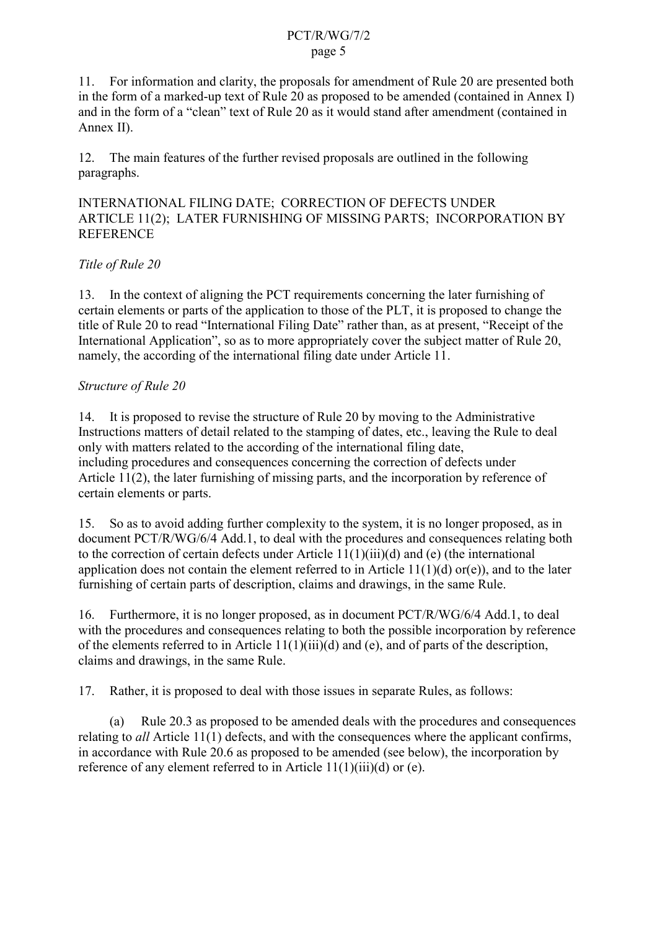#### PCT/R/WG/7/2 page 5

11. For information and clarity, the proposals for amendment of Rule 20 are presented both in the form of a marked-up text of Rule 20 as proposed to be amended (contained in Annex I) and in the form of a "clean" text of Rule 20 as it would stand after amendment (contained in Annex II).

12. The main features of the further revised proposals are outlined in the following paragraphs.

INTERNATIONAL FILING DATE; CORRECTION OF DEFECTS UNDER ARTICLE 11(2); LATER FURNISHING OF MISSING PARTS; INCORPORATION BY REFERENCE

## *Title of Rule 20*

13. In the context of aligning the PCT requirements concerning the later furnishing of certain elements or parts of the application to those of the PLT, it is proposed to change the title of Rule 20 to read "International Filing Date" rather than, as at present, "Receipt of the International Application", so as to more appropriately cover the subject matter of Rule 20, namely, the according of the international filing date under Article 11.

## *Structure of Rule 20*

14. It is proposed to revise the structure of Rule 20 by moving to the Administrative Instructions matters of detail related to the stamping of dates, etc., leaving the Rule to deal only with matters related to the according of the international filing date, including procedures and consequences concerning the correction of defects under Article 11(2), the later furnishing of missing parts, and the incorporation by reference of certain elements or parts.

15. So as to avoid adding further complexity to the system, it is no longer proposed, as in document PCT/R/WG/6/4 Add.1, to deal with the procedures and consequences relating both to the correction of certain defects under Article 11(1)(iii)(d) and (e) (the international application does not contain the element referred to in Article  $11(1)(d)$  or(e)), and to the later furnishing of certain parts of description, claims and drawings, in the same Rule.

16. Furthermore, it is no longer proposed, as in document PCT/R/WG/6/4 Add.1, to deal with the procedures and consequences relating to both the possible incorporation by reference of the elements referred to in Article 11(1)(iii)(d) and (e), and of parts of the description, claims and drawings, in the same Rule.

17. Rather, it is proposed to deal with those issues in separate Rules, as follows:

(a) Rule 20.3 as proposed to be amended deals with the procedures and consequences relating to *all* Article 11(1) defects, and with the consequences where the applicant confirms, in accordance with Rule 20.6 as proposed to be amended (see below), the incorporation by reference of any element referred to in Article 11(1)(iii)(d) or (e).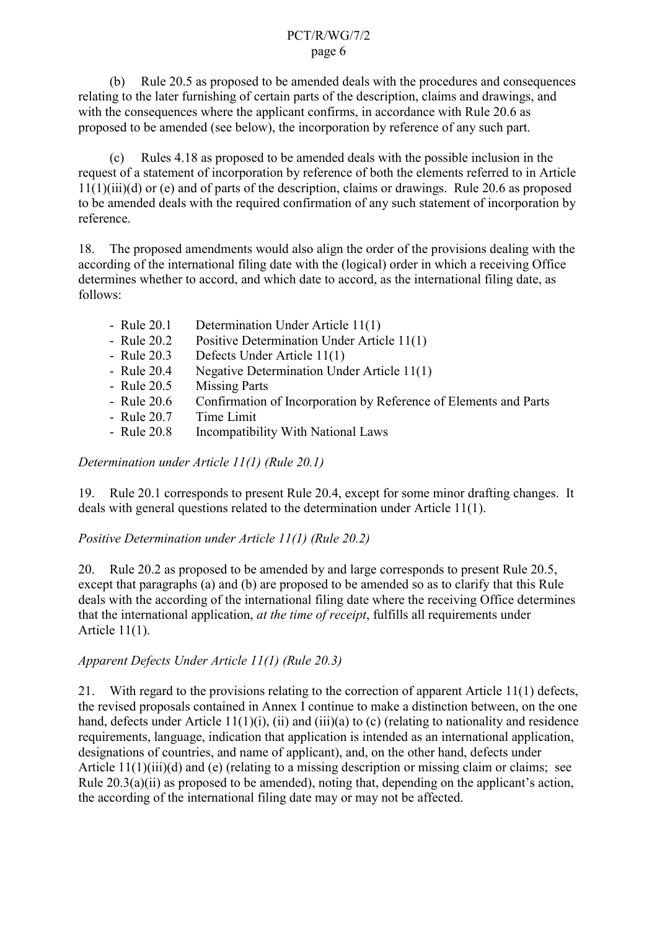#### PCT/R/WG/7/2 page 6

(b) Rule 20.5 as proposed to be amended deals with the procedures and consequences relating to the later furnishing of certain parts of the description, claims and drawings, and with the consequences where the applicant confirms, in accordance with Rule 20.6 as proposed to be amended (see below), the incorporation by reference of any such part.

(c) Rules 4.18 as proposed to be amended deals with the possible inclusion in the request of a statement of incorporation by reference of both the elements referred to in Article 11(1)(iii)(d) or (e) and of parts of the description, claims or drawings. Rule 20.6 as proposed to be amended deals with the required confirmation of any such statement of incorporation by reference.

18. The proposed amendments would also align the order of the provisions dealing with the according of the international filing date with the (logical) order in which a receiving Office determines whether to accord, and which date to accord, as the international filing date, as follows:

| - Rule 20.1 | Determination Under Article 11(1)                                |
|-------------|------------------------------------------------------------------|
| - Rule 20.2 | Positive Determination Under Article 11(1)                       |
| - Rule 20.3 | Defects Under Article 11(1)                                      |
| - Rule 20.4 | Negative Determination Under Article 11(1)                       |
| - Rule 20.5 | <b>Missing Parts</b>                                             |
| - Rule 20.6 | Confirmation of Incorporation by Reference of Elements and Parts |
| - Rule 20.7 | Time Limit                                                       |

- Rule 20.8 Incompatibility With National Laws

*Determination under Article 11(1) (Rule 20.1)*

19. Rule 20.1 corresponds to present Rule 20.4, except for some minor drafting changes. It deals with general questions related to the determination under Article 11(1).

*Positive Determination under Article 11(1) (Rule 20.2)*

20. Rule 20.2 as proposed to be amended by and large corresponds to present Rule 20.5, except that paragraphs (a) and (b) are proposed to be amended so as to clarify that this Rule deals with the according of the international filing date where the receiving Office determines that the international application, *at the time of receipt*, fulfills all requirements under Article 11(1).

## *Apparent Defects Under Article 11(1) (Rule 20.3)*

21. With regard to the provisions relating to the correction of apparent Article 11(1) defects, the revised proposals contained in Annex I continue to make a distinction between, on the one hand, defects under Article 11(1)(i), (ii) and (iii)(a) to (c) (relating to nationality and residence requirements, language, indication that application is intended as an international application, designations of countries, and name of applicant), and, on the other hand, defects under Article 11(1)(iii)(d) and (e) (relating to a missing description or missing claim or claims; see Rule  $20.3(a)(ii)$  as proposed to be amended), noting that, depending on the applicant's action, the according of the international filing date may or may not be affected.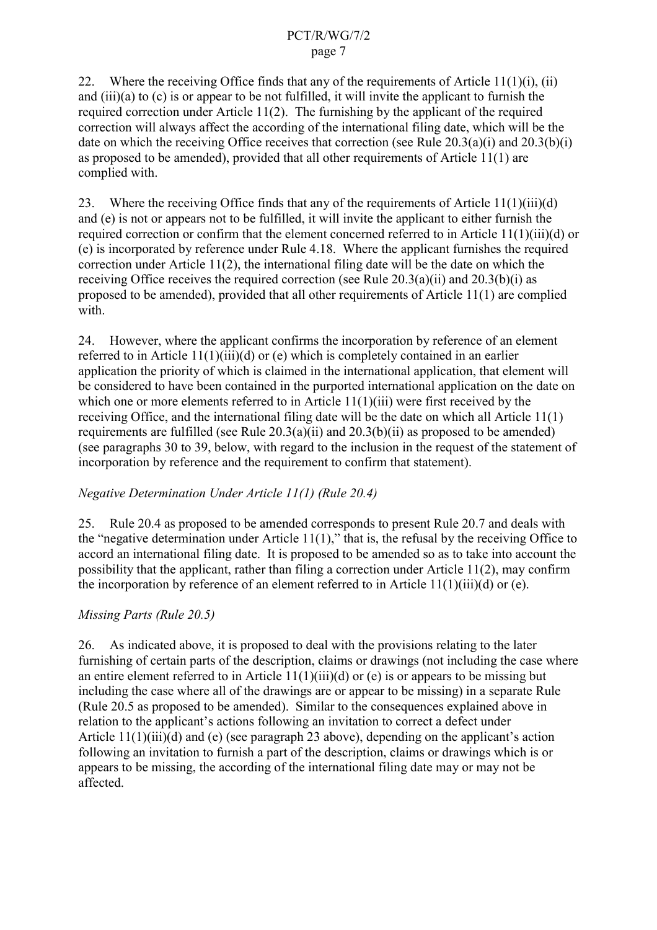22. Where the receiving Office finds that any of the requirements of Article  $11(1)(i)$ , (ii) and (iii)(a) to (c) is or appear to be not fulfilled, it will invite the applicant to furnish the required correction under Article 11(2). The furnishing by the applicant of the required correction will always affect the according of the international filing date, which will be the date on which the receiving Office receives that correction (see Rule  $20.3(a)(i)$  and  $20.3(b)(i)$ as proposed to be amended), provided that all other requirements of Article 11(1) are complied with.

23. Where the receiving Office finds that any of the requirements of Article 11(1)(iii)(d) and (e) is not or appears not to be fulfilled, it will invite the applicant to either furnish the required correction or confirm that the element concerned referred to in Article 11(1)(iii)(d) or (e) is incorporated by reference under Rule 4.18. Where the applicant furnishes the required correction under Article 11(2), the international filing date will be the date on which the receiving Office receives the required correction (see Rule 20.3(a)(ii) and 20.3(b)(i) as proposed to be amended), provided that all other requirements of Article 11(1) are complied with.

24. However, where the applicant confirms the incorporation by reference of an element referred to in Article 11(1)(iii)(d) or (e) which is completely contained in an earlier application the priority of which is claimed in the international application, that element will be considered to have been contained in the purported international application on the date on which one or more elements referred to in Article 11(1)(iii) were first received by the receiving Office, and the international filing date will be the date on which all Article 11(1) requirements are fulfilled (see Rule 20.3(a)(ii) and 20.3(b)(ii) as proposed to be amended) (see paragraphs 30 to 39, below, with regard to the inclusion in the request of the statement of incorporation by reference and the requirement to confirm that statement).

## *Negative Determination Under Article 11(1) (Rule 20.4)*

25. Rule 20.4 as proposed to be amended corresponds to present Rule 20.7 and deals with the "negative determination under Article  $11(1)$ ," that is, the refusal by the receiving Office to accord an international filing date. It is proposed to be amended so as to take into account the possibility that the applicant, rather than filing a correction under Article 11(2), may confirm the incorporation by reference of an element referred to in Article  $11(1)(iii)(d)$  or (e).

## *Missing Parts (Rule 20.5)*

26. As indicated above, it is proposed to deal with the provisions relating to the later furnishing of certain parts of the description, claims or drawings (not including the case where an entire element referred to in Article  $11(1)(iii)(d)$  or (e) is or appears to be missing but including the case where all of the drawings are or appear to be missing) in a separate Rule (Rule 20.5 as proposed to be amended). Similar to the consequences explained above in relation to the applicant's actions following an invitation to correct a defect under Article 11(1)(iii)(d) and (e) (see paragraph 23 above), depending on the applicant's action following an invitation to furnish a part of the description, claims or drawings which is or appears to be missing, the according of the international filing date may or may not be affected.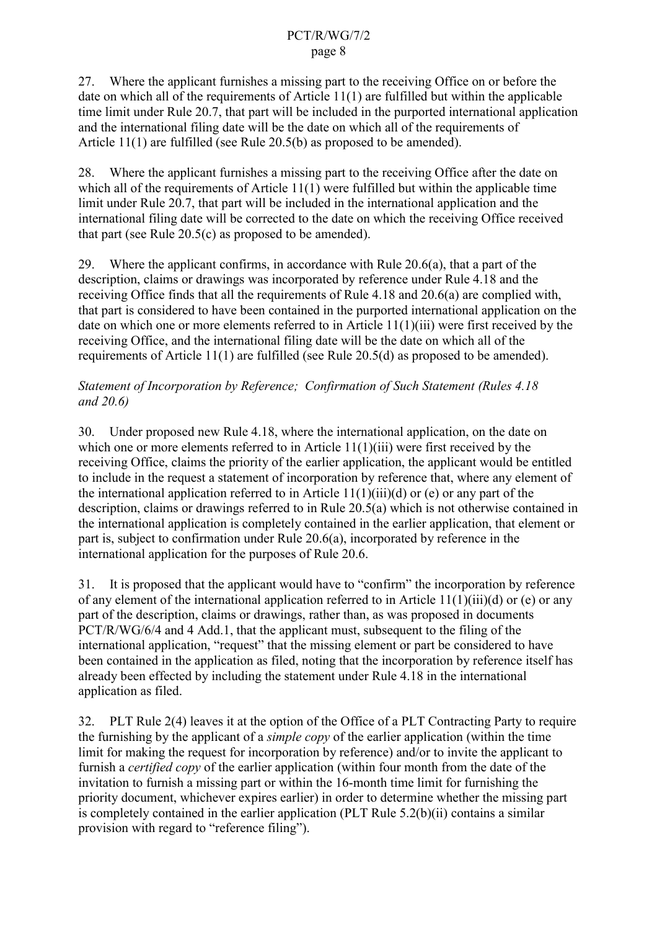27. Where the applicant furnishes a missing part to the receiving Office on or before the date on which all of the requirements of Article 11(1) are fulfilled but within the applicable time limit under Rule 20.7, that part will be included in the purported international application and the international filing date will be the date on which all of the requirements of Article 11(1) are fulfilled (see Rule 20.5(b) as proposed to be amended).

28. Where the applicant furnishes a missing part to the receiving Office after the date on which all of the requirements of Article 11(1) were fulfilled but within the applicable time limit under Rule 20.7, that part will be included in the international application and the international filing date will be corrected to the date on which the receiving Office received that part (see Rule 20.5(c) as proposed to be amended).

29. Where the applicant confirms, in accordance with Rule 20.6(a), that a part of the description, claims or drawings was incorporated by reference under Rule 4.18 and the receiving Office finds that all the requirements of Rule 4.18 and 20.6(a) are complied with, that part is considered to have been contained in the purported international application on the date on which one or more elements referred to in Article 11(1)(iii) were first received by the receiving Office, and the international filing date will be the date on which all of the requirements of Article 11(1) are fulfilled (see Rule 20.5(d) as proposed to be amended).

## *Statement of Incorporation by Reference; Confirmation of Such Statement (Rules 4.18 and 20.6)*

30. Under proposed new Rule 4.18, where the international application, on the date on which one or more elements referred to in Article 11(1)(iii) were first received by the receiving Office, claims the priority of the earlier application, the applicant would be entitled to include in the request a statement of incorporation by reference that, where any element of the international application referred to in Article  $11(1)(iii)(d)$  or (e) or any part of the description, claims or drawings referred to in Rule 20.5(a) which is not otherwise contained in the international application is completely contained in the earlier application, that element or part is, subject to confirmation under Rule 20.6(a), incorporated by reference in the international application for the purposes of Rule 20.6.

31. It is proposed that the applicant would have to "confirm" the incorporation by reference of any element of the international application referred to in Article 11(1)(iii)(d) or (e) or any part of the description, claims or drawings, rather than, as was proposed in documents PCT/R/WG/6/4 and 4 Add.1, that the applicant must, subsequent to the filing of the international application, "request" that the missing element or part be considered to have been contained in the application as filed, noting that the incorporation by reference itself has already been effected by including the statement under Rule 4.18 in the international application as filed.

32. PLT Rule 2(4) leaves it at the option of the Office of a PLT Contracting Party to require the furnishing by the applicant of a *simple copy* of the earlier application (within the time limit for making the request for incorporation by reference) and/or to invite the applicant to furnish a *certified copy* of the earlier application (within four month from the date of the invitation to furnish a missing part or within the 16-month time limit for furnishing the priority document, whichever expires earlier) in order to determine whether the missing part is completely contained in the earlier application (PLT Rule 5.2(b)(ii) contains a similar provision with regard to "reference filing").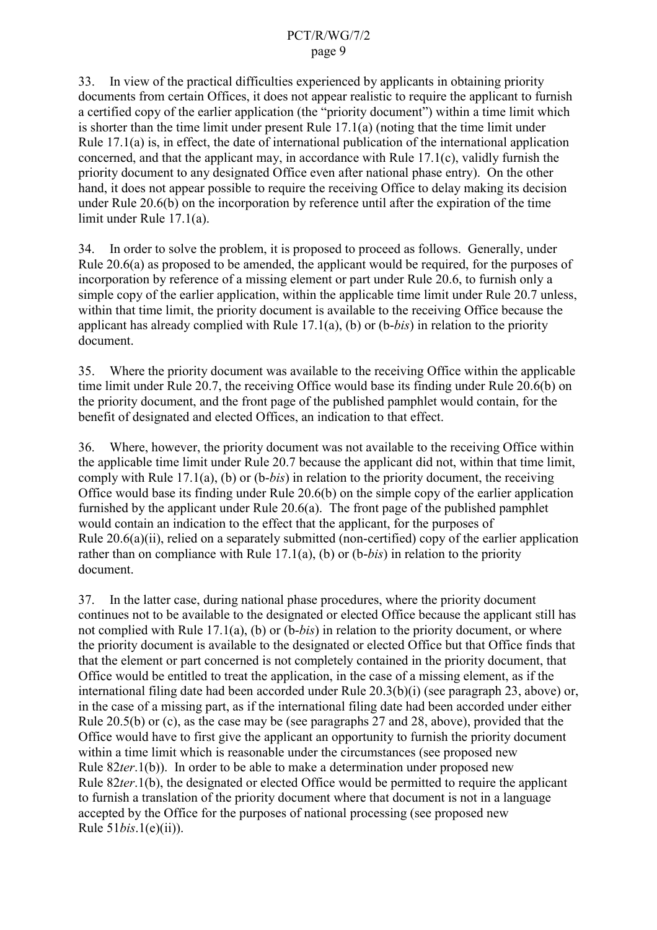#### PCT/R/WG/7/2 page 9

33. In view of the practical difficulties experienced by applicants in obtaining priority documents from certain Offices, it does not appear realistic to require the applicant to furnish a certified copy of the earlier application (the "priority document") within a time limit which is shorter than the time limit under present Rule 17.1(a) (noting that the time limit under Rule 17.1(a) is, in effect, the date of international publication of the international application concerned, and that the applicant may, in accordance with Rule 17.1(c), validly furnish the priority document to any designated Office even after national phase entry). On the other hand, it does not appear possible to require the receiving Office to delay making its decision under Rule 20.6(b) on the incorporation by reference until after the expiration of the time limit under Rule 17.1(a).

34. In order to solve the problem, it is proposed to proceed as follows. Generally, under Rule 20.6(a) as proposed to be amended, the applicant would be required, for the purposes of incorporation by reference of a missing element or part under Rule 20.6, to furnish only a simple copy of the earlier application, within the applicable time limit under Rule 20.7 unless, within that time limit, the priority document is available to the receiving Office because the applicant has already complied with Rule 17.1(a), (b) or (b-*bis*) in relation to the priority document.

35. Where the priority document was available to the receiving Office within the applicable time limit under Rule 20.7, the receiving Office would base its finding under Rule 20.6(b) on the priority document, and the front page of the published pamphlet would contain, for the benefit of designated and elected Offices, an indication to that effect.

36. Where, however, the priority document was not available to the receiving Office within the applicable time limit under Rule 20.7 because the applicant did not, within that time limit, comply with Rule 17.1(a), (b) or (b-*bis*) in relation to the priority document, the receiving Office would base its finding under Rule 20.6(b) on the simple copy of the earlier application furnished by the applicant under Rule 20.6(a). The front page of the published pamphlet would contain an indication to the effect that the applicant, for the purposes of Rule 20.6(a)(ii), relied on a separately submitted (non-certified) copy of the earlier application rather than on compliance with Rule 17.1(a), (b) or (b-*bis*) in relation to the priority document.

37. In the latter case, during national phase procedures, where the priority document continues not to be available to the designated or elected Office because the applicant still has not complied with Rule 17.1(a), (b) or (b-*bis*) in relation to the priority document, or where the priority document is available to the designated or elected Office but that Office finds that that the element or part concerned is not completely contained in the priority document, that Office would be entitled to treat the application, in the case of a missing element, as if the international filing date had been accorded under Rule 20.3(b)(i) (see paragraph 23, above) or, in the case of a missing part, as if the international filing date had been accorded under either Rule 20.5(b) or (c), as the case may be (see paragraphs 27 and 28, above), provided that the Office would have to first give the applicant an opportunity to furnish the priority document within a time limit which is reasonable under the circumstances (see proposed new Rule 82*ter*.1(b)). In order to be able to make a determination under proposed new Rule 82*ter*.1(b), the designated or elected Office would be permitted to require the applicant to furnish a translation of the priority document where that document is not in a language accepted by the Office for the purposes of national processing (see proposed new Rule 51*bis*.1(e)(ii)).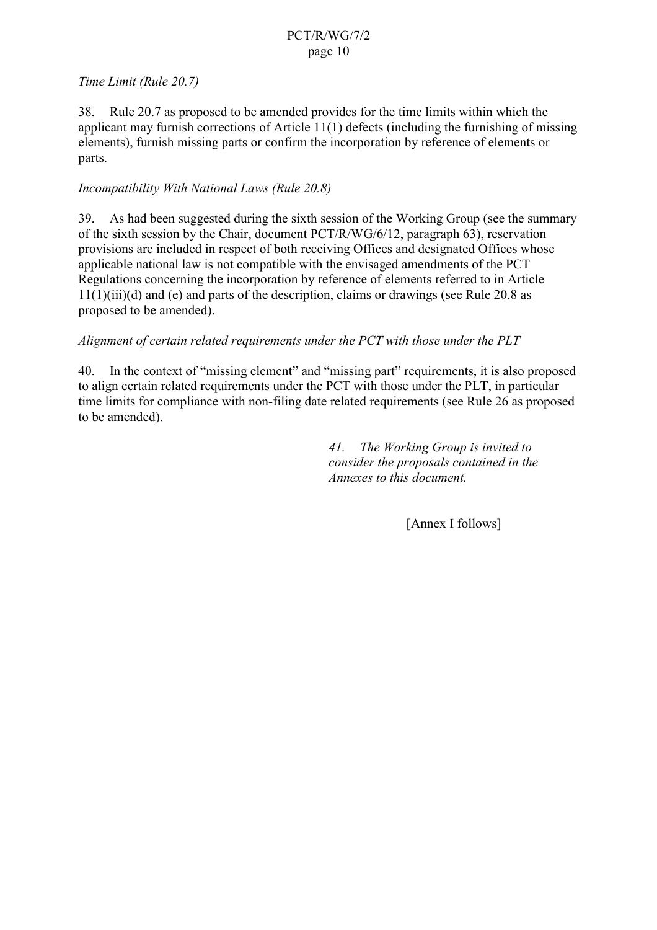## PCT/R/WG/7/2 page 10

### *Time Limit (Rule 20.7)*

38. Rule 20.7 as proposed to be amended provides for the time limits within which the applicant may furnish corrections of Article 11(1) defects (including the furnishing of missing elements), furnish missing parts or confirm the incorporation by reference of elements or parts.

## *Incompatibility With National Laws (Rule 20.8)*

39. As had been suggested during the sixth session of the Working Group (see the summary of the sixth session by the Chair, document PCT/R/WG/6/12, paragraph 63), reservation provisions are included in respect of both receiving Offices and designated Offices whose applicable national law is not compatible with the envisaged amendments of the PCT Regulations concerning the incorporation by reference of elements referred to in Article  $11(1)(iii)(d)$  and (e) and parts of the description, claims or drawings (see Rule 20.8 as proposed to be amended).

#### *Alignment of certain related requirements under the PCT with those under the PLT*

40. In the context of "missing element" and "missing part" requirements, it is also proposed to align certain related requirements under the PCT with those under the PLT, in particular time limits for compliance with non-filing date related requirements (see Rule 26 as proposed to be amended).

> *41. The Working Group is invited to consider the proposals contained in the Annexes to this document.*

> > [Annex I follows]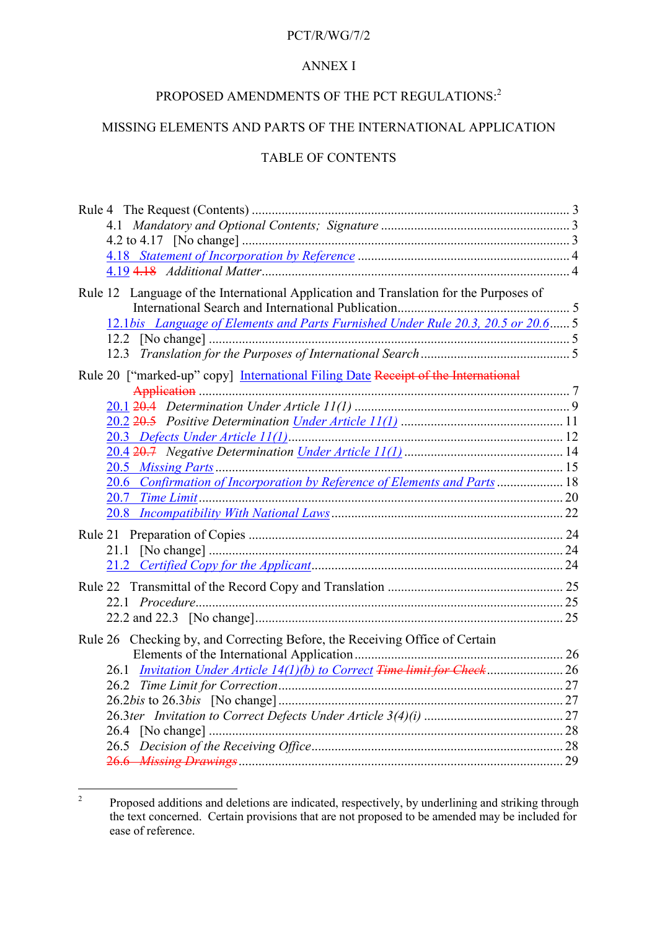#### PCT/R/WG/7/2

## ANNEX I

# PROPOSED AMENDMENTS OF THE PCT REGULATIONS:<sup>2</sup>

## MISSING ELEMENTS AND PARTS OF THE INTERNATIONAL APPLICATION

## TABLE OF CONTENTS

| Rule 12 Language of the International Application and Translation for the Purposes of |  |
|---------------------------------------------------------------------------------------|--|
|                                                                                       |  |
| 12.1bis Language of Elements and Parts Furnished Under Rule 20.3, 20.5 or 20.6 5      |  |
|                                                                                       |  |
|                                                                                       |  |
| Rule 20 ["marked-up" copy] International Filing Date Receipt of the International     |  |
|                                                                                       |  |
|                                                                                       |  |
|                                                                                       |  |
|                                                                                       |  |
|                                                                                       |  |
|                                                                                       |  |
| 20.6 Confirmation of Incorporation by Reference of Elements and Parts  18             |  |
|                                                                                       |  |
|                                                                                       |  |
|                                                                                       |  |
|                                                                                       |  |
|                                                                                       |  |
|                                                                                       |  |
|                                                                                       |  |
|                                                                                       |  |
| Rule 26 Checking by, and Correcting Before, the Receiving Office of Certain           |  |
|                                                                                       |  |
|                                                                                       |  |
|                                                                                       |  |
|                                                                                       |  |
|                                                                                       |  |
|                                                                                       |  |
|                                                                                       |  |
|                                                                                       |  |

 $\frac{1}{2}$  Proposed additions and deletions are indicated, respectively, by underlining and striking through the text concerned. Certain provisions that are not proposed to be amended may be included for ease of reference.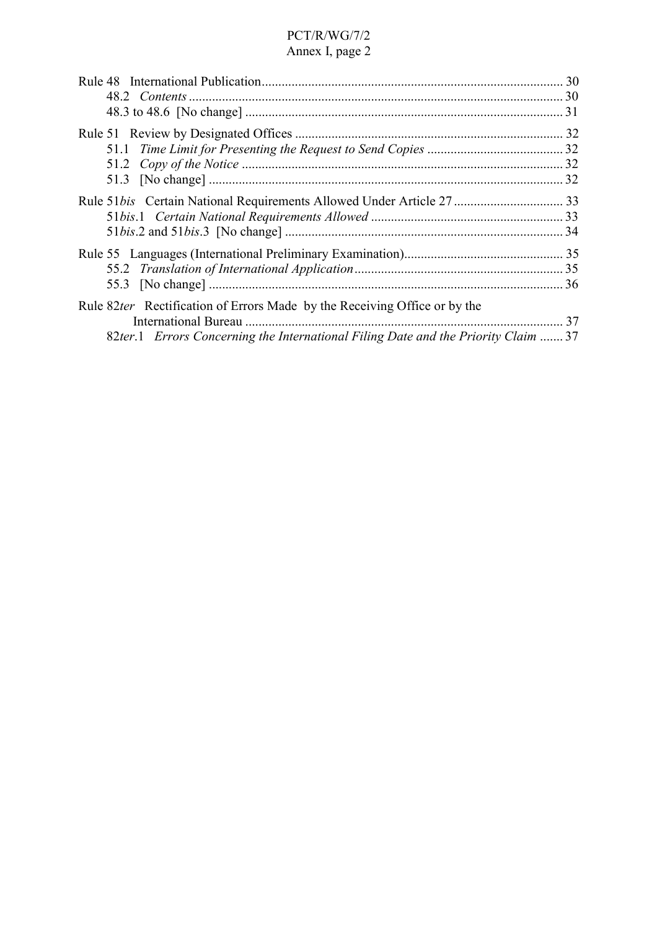|                                                                                                                                                                 | 30 |
|-----------------------------------------------------------------------------------------------------------------------------------------------------------------|----|
|                                                                                                                                                                 |    |
|                                                                                                                                                                 |    |
|                                                                                                                                                                 |    |
| Rule 82ter Rectification of Errors Made by the Receiving Office or by the<br>82ter.1 Errors Concerning the International Filing Date and the Priority Claim  37 | 37 |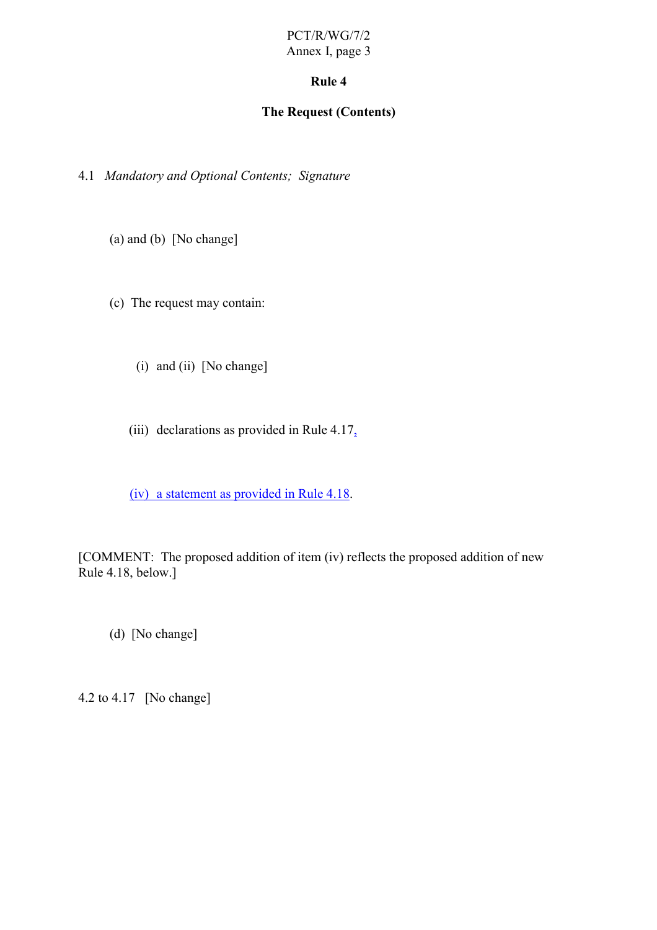## **Rule 4**

## **The Request (Contents)**

4.1 *Mandatory and Optional Contents; Signature*

(a) and (b) [No change]

(c) The request may contain:

(i) and (ii) [No change]

(iii) declarations as provided in Rule  $4.17<sub>a</sub>$ 

(iv) a statement as provided in Rule 4.18.

[COMMENT: The proposed addition of item (iv) reflects the proposed addition of new Rule 4.18, below.]

(d) [No change]

4.2 to 4.17 [No change]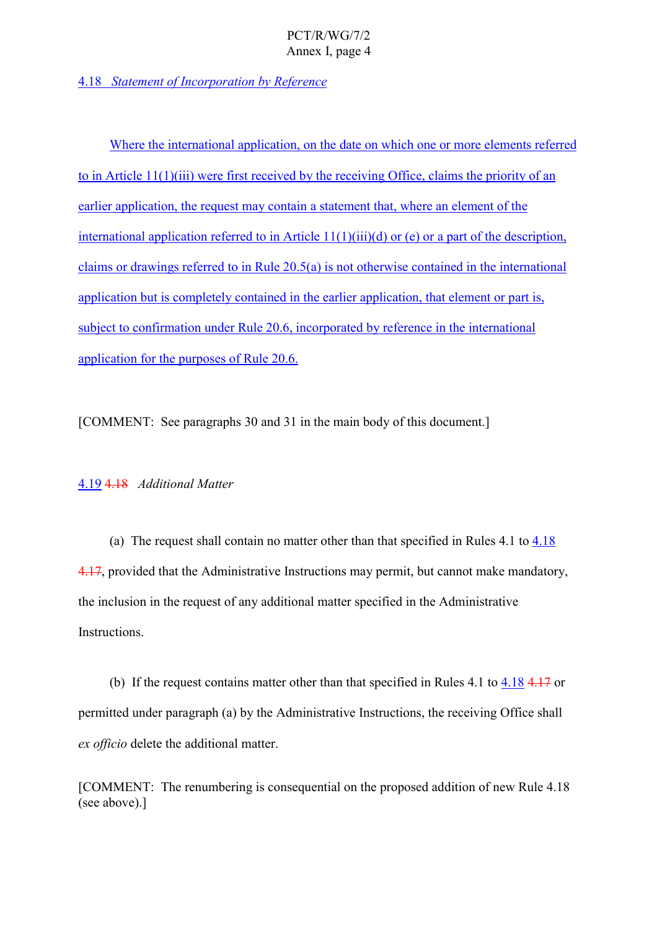## 4.18 *Statement of Incorporation by Reference*

Where the international application, on the date on which one or more elements referred to in Article 11(1)(iii) were first received by the receiving Office, claims the priority of an earlier application, the request may contain a statement that, where an element of the international application referred to in Article  $11(1)(iii)(d)$  or (e) or a part of the description, claims or drawings referred to in Rule 20.5(a) is not otherwise contained in the international application but is completely contained in the earlier application, that element or part is, subject to confirmation under Rule 20.6, incorporated by reference in the international application for the purposes of Rule 20.6.

[COMMENT: See paragraphs 30 and 31 in the main body of this document.]

#### 4.19 4.18 *Additional Matter*

(a) The request shall contain no matter other than that specified in Rules 4.1 to 4.18 4.17, provided that the Administrative Instructions may permit, but cannot make mandatory, the inclusion in the request of any additional matter specified in the Administrative Instructions.

(b) If the request contains matter other than that specified in Rules 4.1 to 4.18 4.17 or permitted under paragraph (a) by the Administrative Instructions, the receiving Office shall *ex officio* delete the additional matter.

[COMMENT: The renumbering is consequential on the proposed addition of new Rule 4.18 (see above).]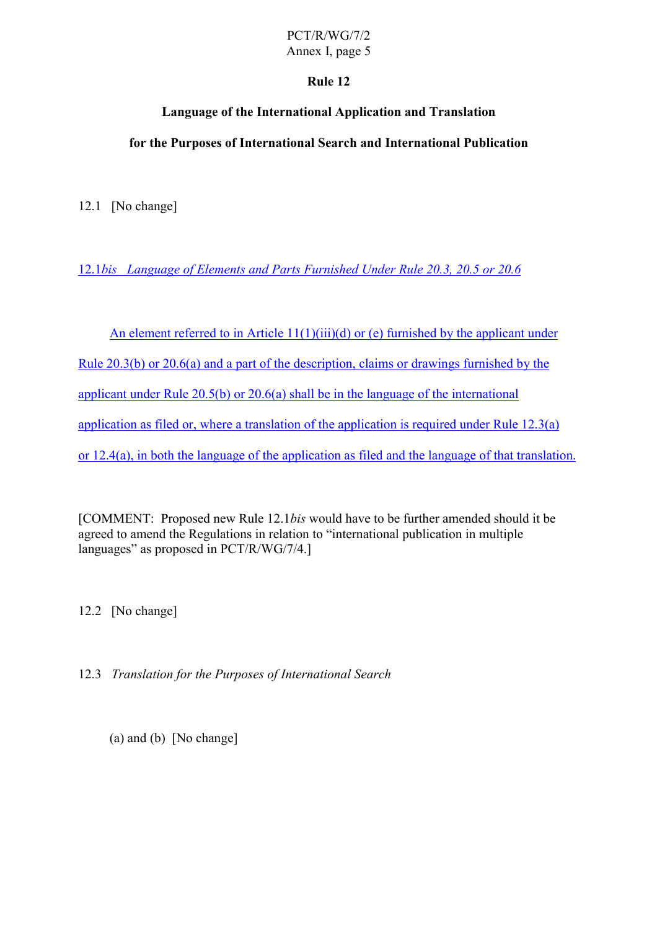## **Rule 12**

# **Language of the International Application and Translation**

## **for the Purposes of International Search and International Publication**

12.1 [No change]

12.1*bis Language of Elements and Parts Furnished Under Rule 20.3, 20.5 or 20.6*

An element referred to in Article  $11(1)(iii)(d)$  or (e) furnished by the applicant under Rule 20.3(b) or 20.6(a) and a part of the description, claims or drawings furnished by the applicant under Rule 20.5(b) or 20.6(a) shall be in the language of the international application as filed or, where a translation of the application is required under Rule 12.3(a) or 12.4(a), in both the language of the application as filed and the language of that translation.

[COMMENT: Proposed new Rule 12.1*bis* would have to be further amended should it be agreed to amend the Regulations in relation to "international publication in multiple languages" as proposed in PCT/R/WG/7/4.]

12.2 [No change]

12.3 *Translation for the Purposes of International Search*

(a) and (b) [No change]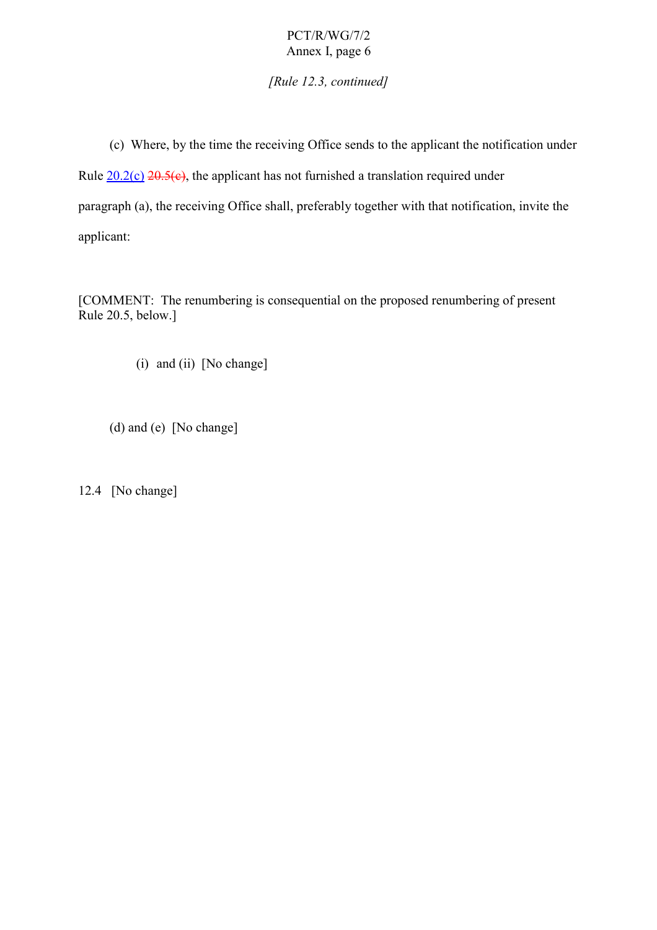*[Rule 12.3, continued]*

(c) Where, by the time the receiving Office sends to the applicant the notification under Rule  $20.2(c)$   $20.5(c)$ , the applicant has not furnished a translation required under paragraph (a), the receiving Office shall, preferably together with that notification, invite the applicant:

[COMMENT: The renumbering is consequential on the proposed renumbering of present Rule 20.5, below.]

(i) and (ii) [No change]

(d) and (e) [No change]

12.4 [No change]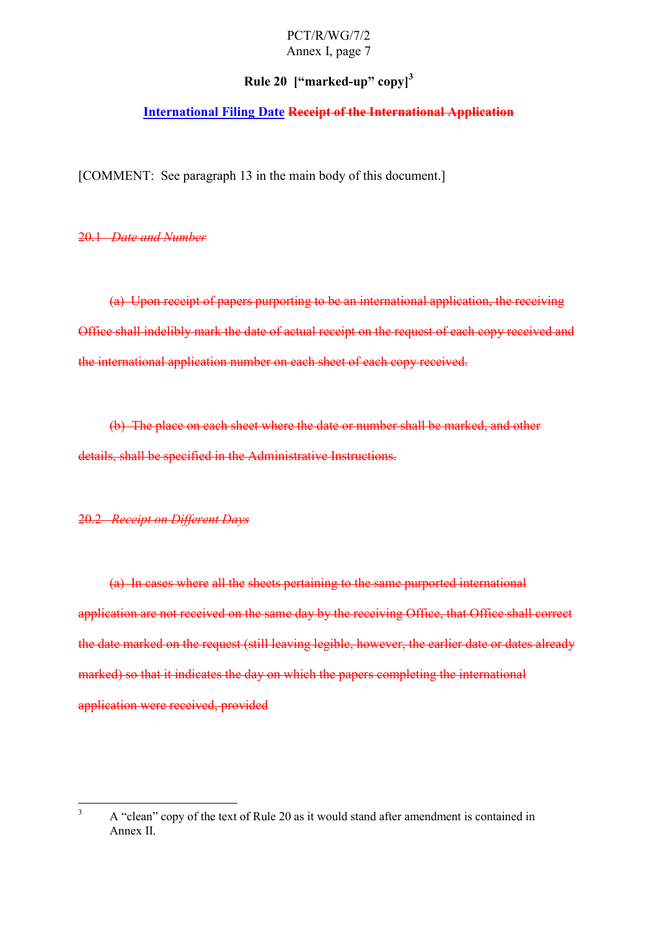## **Rule 20 ["marked-up" copy]<sup>3</sup>**

## **International Filing Date Receipt of the International Application**

[COMMENT: See paragraph 13 in the main body of this document.]

20.1 *Date and Number*

(a) Upon receipt of papers purporting to be an international application, the receiving Office shall indelibly mark the date of actual receipt on the request of each copy received and the international application number on each sheet of each copy received.

(b) The place on each sheet where the date or number shall be marked, and other details, shall be specified in the Administrative Instructions.

#### 20.2 *Receipt on Different Days*

(a) In cases where all the sheets pertaining to the same purported international application are not received on the same day by the receiving Office, that Office shall correct the date marked on the request (still leaving legible, however, the earlier date or dates already marked) so that it indicates the day on which the papers completing the international application were received, provided

 $\frac{1}{3}$  A "clean" copy of the text of Rule 20 as it would stand after amendment is contained in Annex II.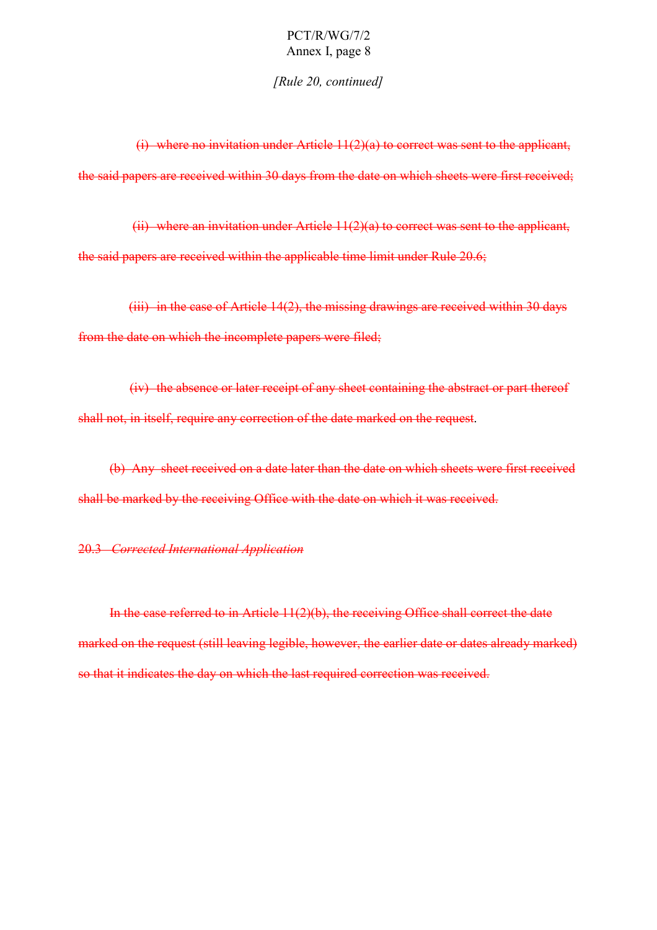*[Rule 20, continued]*

(i) where no invitation under Article 11(2)(a) to correct was sent to the applicant, the said papers are received within 30 days from the date on which sheets were first received;

(ii) where an invitation under Article 11(2)(a) to correct was sent to the applicant, the said papers are received within the applicable time limit under Rule 20.6;

(iii) in the case of Article 14(2), the missing drawings are received within 30 days from the date on which the incomplete papers were filed;

(iv) the absence or later receipt of any sheet containing the abstract or part thereof shall not, in itself, require any correction of the date marked on the request.

(b) Any sheet received on a date later than the date on which sheets were first received shall be marked by the receiving Office with the date on which it was received.

#### 20.3 *Corrected International Application*

In the case referred to in Article 11(2)(b), the receiving Office shall correct the date marked on the request (still leaving legible, however, the earlier date or dates already marked) so that it indicates the day on which the last required correction was received.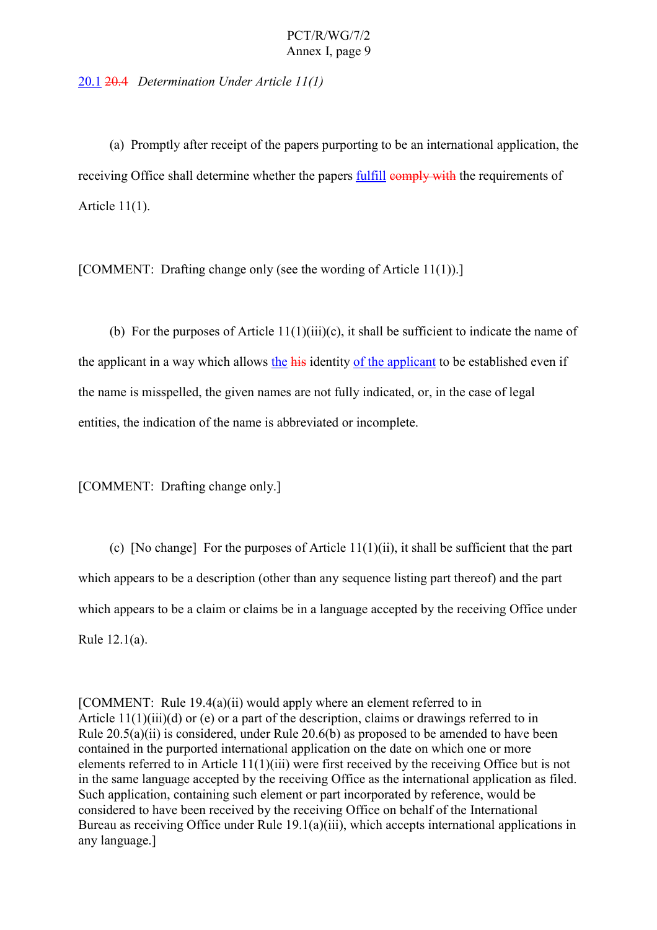20.1 20.4 *Determination Under Article 11(1)*

(a) Promptly after receipt of the papers purporting to be an international application, the receiving Office shall determine whether the papers fulfill comply with the requirements of Article 11(1).

[COMMENT: Drafting change only (see the wording of Article 11(1)).]

(b) For the purposes of Article  $11(1)(iii)(c)$ , it shall be sufficient to indicate the name of the applicant in a way which allows the his identity of the applicant to be established even if the name is misspelled, the given names are not fully indicated, or, in the case of legal entities, the indication of the name is abbreviated or incomplete.

[COMMENT: Drafting change only.]

(c) [No change] For the purposes of Article 11(1)(ii), it shall be sufficient that the part which appears to be a description (other than any sequence listing part thereof) and the part which appears to be a claim or claims be in a language accepted by the receiving Office under Rule 12.1(a).

[COMMENT: Rule 19.4(a)(ii) would apply where an element referred to in Article 11(1)(iii)(d) or (e) or a part of the description, claims or drawings referred to in Rule 20.5(a)(ii) is considered, under Rule 20.6(b) as proposed to be amended to have been contained in the purported international application on the date on which one or more elements referred to in Article 11(1)(iii) were first received by the receiving Office but is not in the same language accepted by the receiving Office as the international application as filed. Such application, containing such element or part incorporated by reference, would be considered to have been received by the receiving Office on behalf of the International Bureau as receiving Office under Rule 19.1(a)(iii), which accepts international applications in any language.]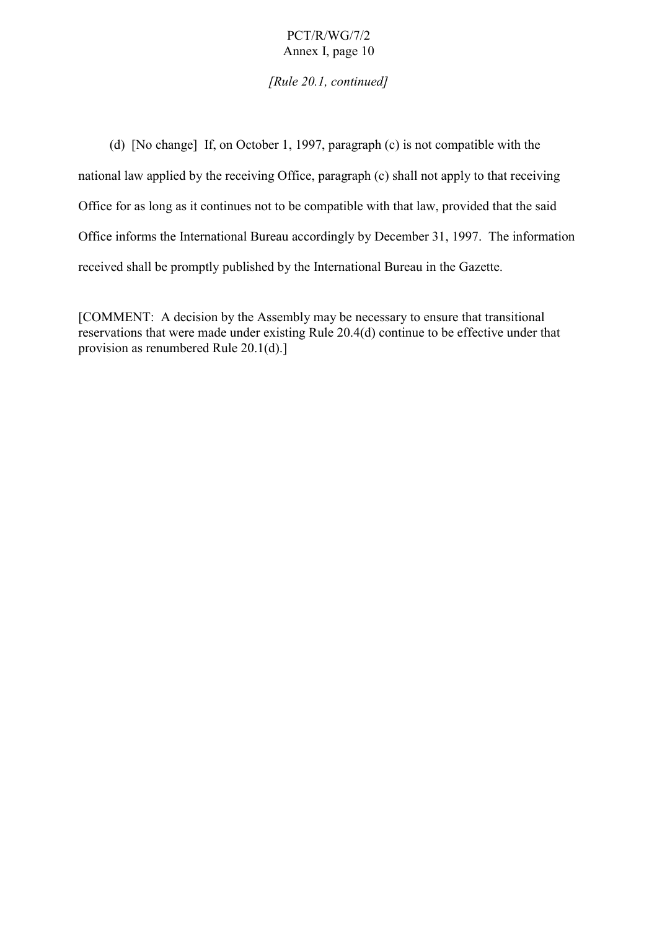*[Rule 20.1, continued]*

(d) [No change] If, on October 1, 1997, paragraph (c) is not compatible with the national law applied by the receiving Office, paragraph (c) shall not apply to that receiving Office for as long as it continues not to be compatible with that law, provided that the said Office informs the International Bureau accordingly by December 31, 1997. The information received shall be promptly published by the International Bureau in the Gazette.

[COMMENT: A decision by the Assembly may be necessary to ensure that transitional reservations that were made under existing Rule 20.4(d) continue to be effective under that provision as renumbered Rule 20.1(d).]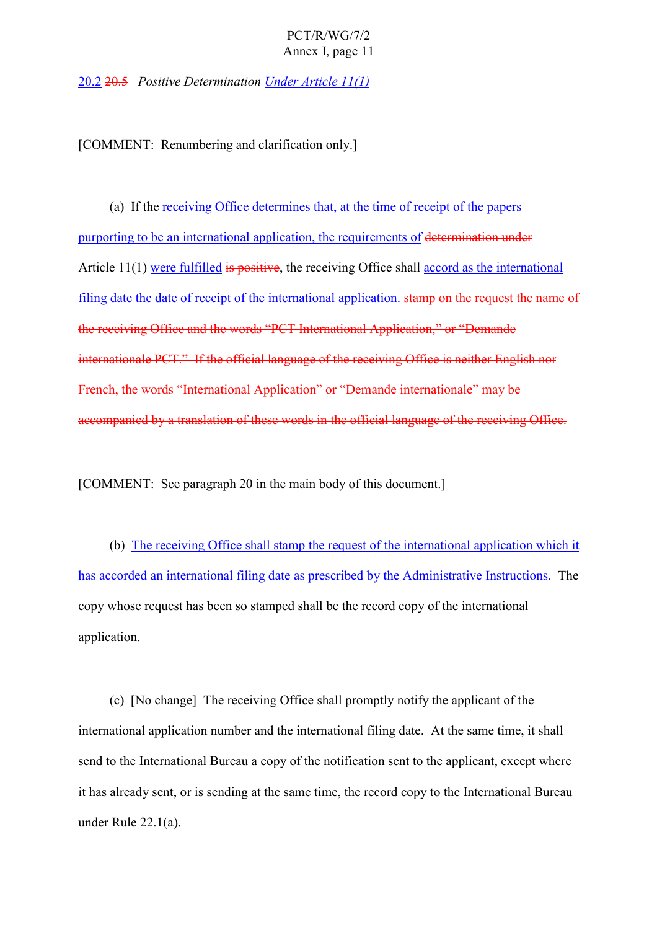20.2 20.5 *Positive Determination Under Article 11(1)*

[COMMENT: Renumbering and clarification only.]

(a) If the receiving Office determines that, at the time of receipt of the papers purporting to be an international application, the requirements of determination under Article 11(1) were fulfilled is positive, the receiving Office shall accord as the international filing date the date of receipt of the international application. stamp on the request the name of the receiving Office and the words "PCT International Application," or "Demande internationale PCT." If the official language of the receiving Office is neither English nor French, the words "International Application" or "Demande internationale" may be accompanied by a translation of these words in the official language of the receiving Office.

[COMMENT: See paragraph 20 in the main body of this document.]

(b) The receiving Office shall stamp the request of the international application which it has accorded an international filing date as prescribed by the Administrative Instructions. The copy whose request has been so stamped shall be the record copy of the international application.

(c) [No change] The receiving Office shall promptly notify the applicant of the international application number and the international filing date. At the same time, it shall send to the International Bureau a copy of the notification sent to the applicant, except where it has already sent, or is sending at the same time, the record copy to the International Bureau under Rule 22.1(a).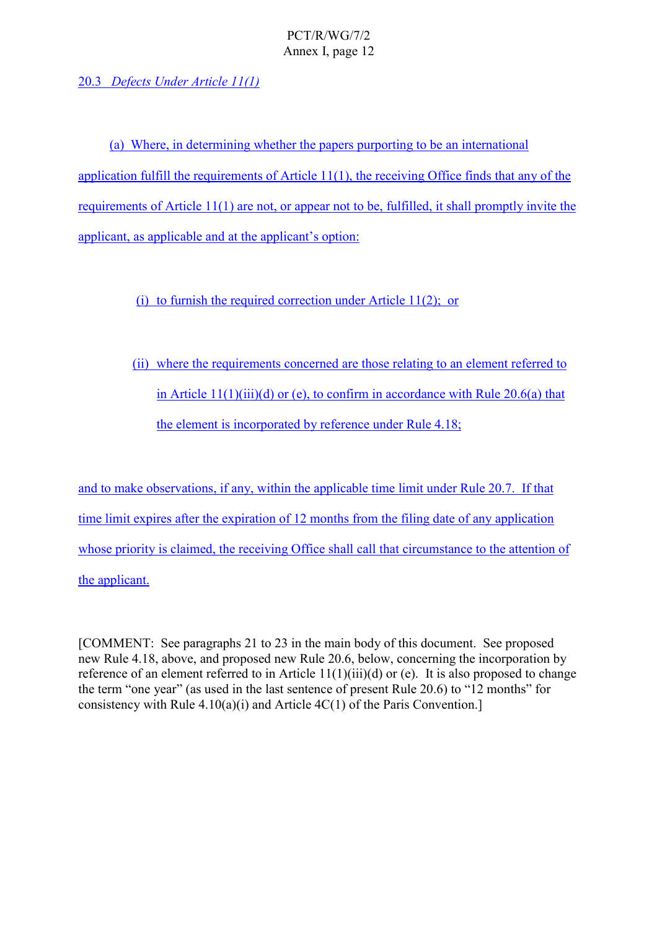20.3 *Defects Under Article 11(1)*

(a) Where, in determining whether the papers purporting to be an international application fulfill the requirements of Article 11(1), the receiving Office finds that any of the requirements of Article 11(1) are not, or appear not to be, fulfilled, it shall promptly invite the applicant, as applicable and at the applicant's option:

## (i) to furnish the required correction under Article 11(2); or

(ii) where the requirements concerned are those relating to an element referred to in Article  $11(1)(iii)(d)$  or (e), to confirm in accordance with Rule 20.6(a) that the element is incorporated by reference under Rule 4.18;

and to make observations, if any, within the applicable time limit under Rule 20.7. If that time limit expires after the expiration of 12 months from the filing date of any application whose priority is claimed, the receiving Office shall call that circumstance to the attention of the applicant.

[COMMENT: See paragraphs 21 to 23 in the main body of this document. See proposed new Rule 4.18, above, and proposed new Rule 20.6, below, concerning the incorporation by reference of an element referred to in Article 11(1)(iii)(d) or (e). It is also proposed to change the term "one year" (as used in the last sentence of present Rule 20.6) to "12 months" for consistency with Rule  $4.10(a)(i)$  and Article  $4C(1)$  of the Paris Convention.]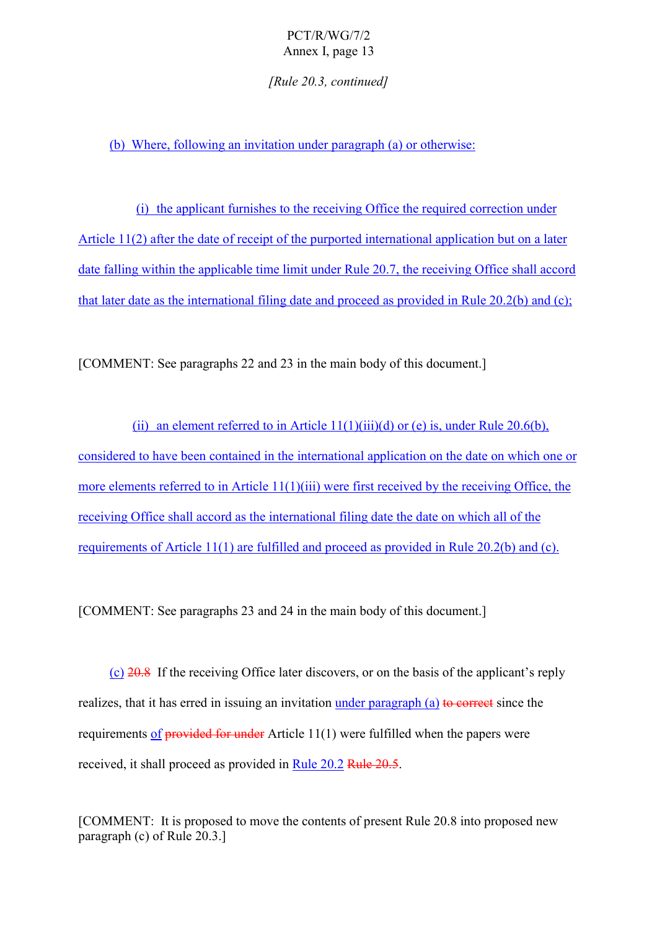*[Rule 20.3, continued]*

(b) Where, following an invitation under paragraph (a) or otherwise:

(i) the applicant furnishes to the receiving Office the required correction under Article 11(2) after the date of receipt of the purported international application but on a later date falling within the applicable time limit under Rule 20.7, the receiving Office shall accord that later date as the international filing date and proceed as provided in Rule 20.2(b) and (c);

[COMMENT: See paragraphs 22 and 23 in the main body of this document.]

(ii) an element referred to in Article  $11(1)(iii)(d)$  or (e) is, under Rule 20.6(b), considered to have been contained in the international application on the date on which one or more elements referred to in Article 11(1)(iii) were first received by the receiving Office, the receiving Office shall accord as the international filing date the date on which all of the requirements of Article 11(1) are fulfilled and proceed as provided in Rule 20.2(b) and (c).

[COMMENT: See paragraphs 23 and 24 in the main body of this document.]

(c)  $20.8$  If the receiving Office later discovers, or on the basis of the applicant's reply realizes, that it has erred in issuing an invitation under paragraph (a) to correct since the requirements of provided for under Article 11(1) were fulfilled when the papers were received, it shall proceed as provided in Rule 20.2 Rule 20.5.

[COMMENT: It is proposed to move the contents of present Rule 20.8 into proposed new paragraph (c) of Rule 20.3.]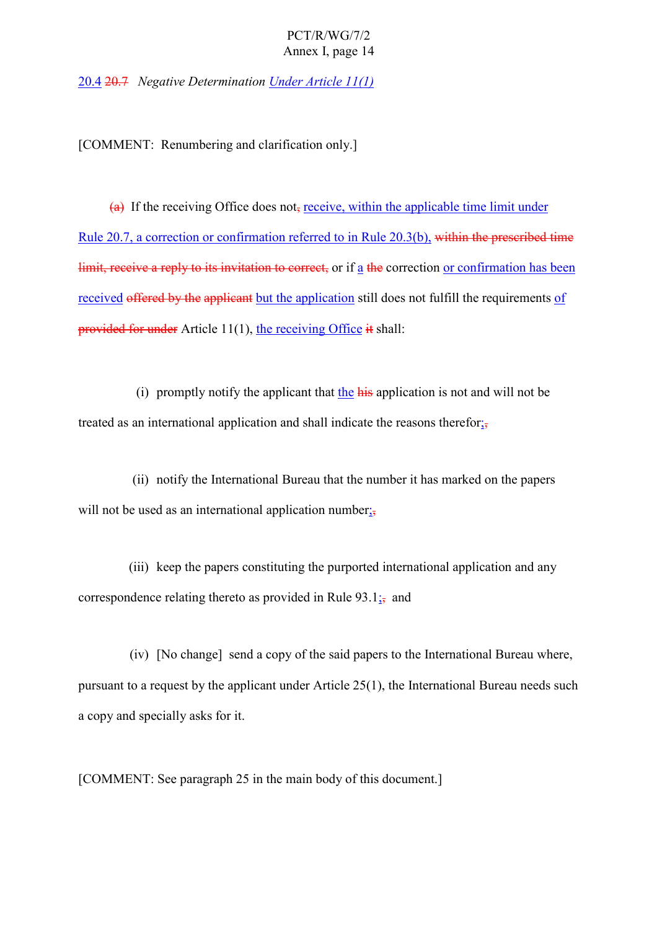20.4 20.7 *Negative Determination Under Article 11(1)*

[COMMENT: Renumbering and clarification only.]

 $(a)$  If the receiving Office does not, receive, within the applicable time limit under Rule 20.7, a correction or confirmation referred to in Rule 20.3(b), within the prescribed time limit, receive a reply to its invitation to correct, or if a the correction or confirmation has been received offered by the applicant but the application still does not fulfill the requirements of provided for under Article 11(1), the receiving Office it shall:

(i) promptly notify the applicant that the his application is not and will not be treated as an international application and shall indicate the reasons therefor $\frac{1}{2}$ 

(ii) notify the International Bureau that the number it has marked on the papers will not be used as an international application number;

(iii) keep the papers constituting the purported international application and any correspondence relating thereto as provided in Rule  $93.1$ ; and

(iv) [No change] send a copy of the said papers to the International Bureau where, pursuant to a request by the applicant under Article 25(1), the International Bureau needs such a copy and specially asks for it.

[COMMENT: See paragraph 25 in the main body of this document.]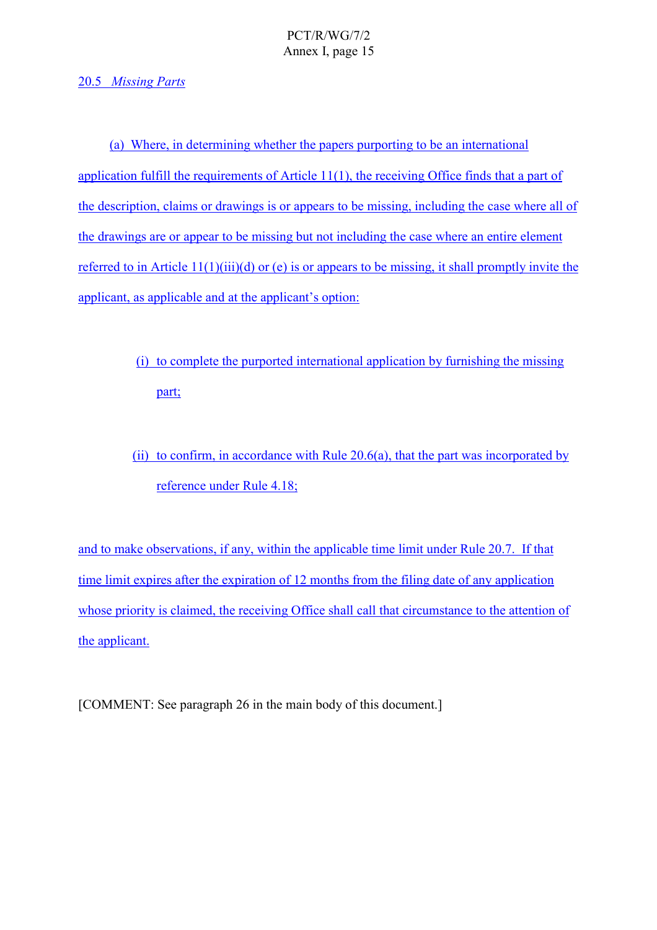## 20.5 *Missing Parts*

(a) Where, in determining whether the papers purporting to be an international application fulfill the requirements of Article 11(1), the receiving Office finds that a part of the description, claims or drawings is or appears to be missing, including the case where all of the drawings are or appear to be missing but not including the case where an entire element referred to in Article 11(1)(iii)(d) or (e) is or appears to be missing, it shall promptly invite the applicant, as applicable and at the applicant's option:

> (i) to complete the purported international application by furnishing the missing part;

(ii) to confirm, in accordance with Rule 20.6(a), that the part was incorporated by reference under Rule 4.18;

and to make observations, if any, within the applicable time limit under Rule 20.7. If that time limit expires after the expiration of 12 months from the filing date of any application whose priority is claimed, the receiving Office shall call that circumstance to the attention of the applicant.

[COMMENT: See paragraph 26 in the main body of this document.]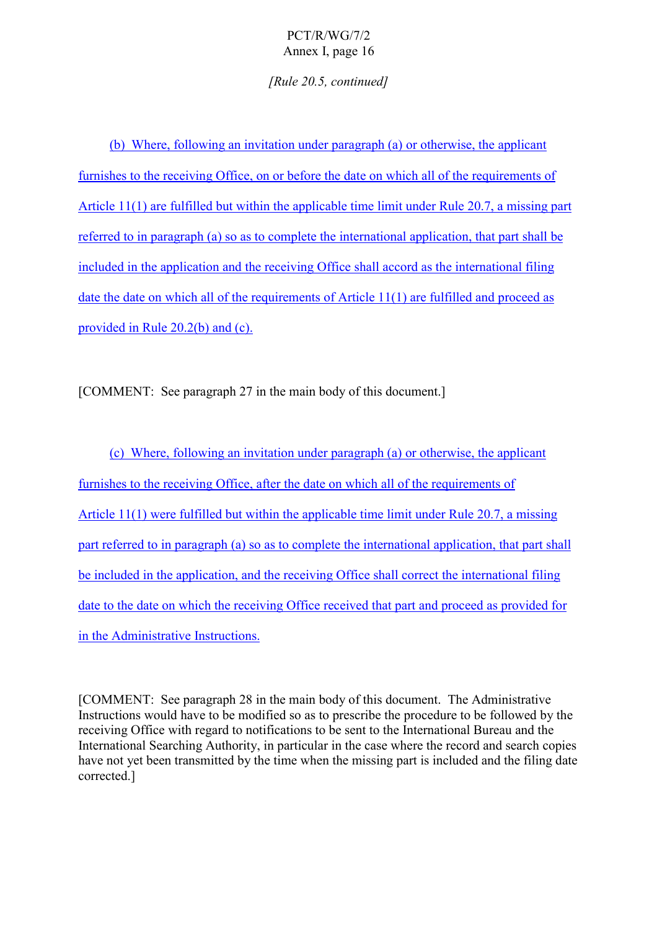*[Rule 20.5, continued]*

(b) Where, following an invitation under paragraph (a) or otherwise, the applicant furnishes to the receiving Office, on or before the date on which all of the requirements of Article 11(1) are fulfilled but within the applicable time limit under Rule 20.7, a missing part referred to in paragraph (a) so as to complete the international application, that part shall be included in the application and the receiving Office shall accord as the international filing date the date on which all of the requirements of Article 11(1) are fulfilled and proceed as provided in Rule 20.2(b) and (c).

[COMMENT: See paragraph 27 in the main body of this document.]

(c) Where, following an invitation under paragraph (a) or otherwise, the applicant furnishes to the receiving Office, after the date on which all of the requirements of Article 11(1) were fulfilled but within the applicable time limit under Rule 20.7, a missing part referred to in paragraph (a) so as to complete the international application, that part shall be included in the application, and the receiving Office shall correct the international filing date to the date on which the receiving Office received that part and proceed as provided for in the Administrative Instructions.

[COMMENT: See paragraph 28 in the main body of this document. The Administrative Instructions would have to be modified so as to prescribe the procedure to be followed by the receiving Office with regard to notifications to be sent to the International Bureau and the International Searching Authority, in particular in the case where the record and search copies have not yet been transmitted by the time when the missing part is included and the filing date corrected.]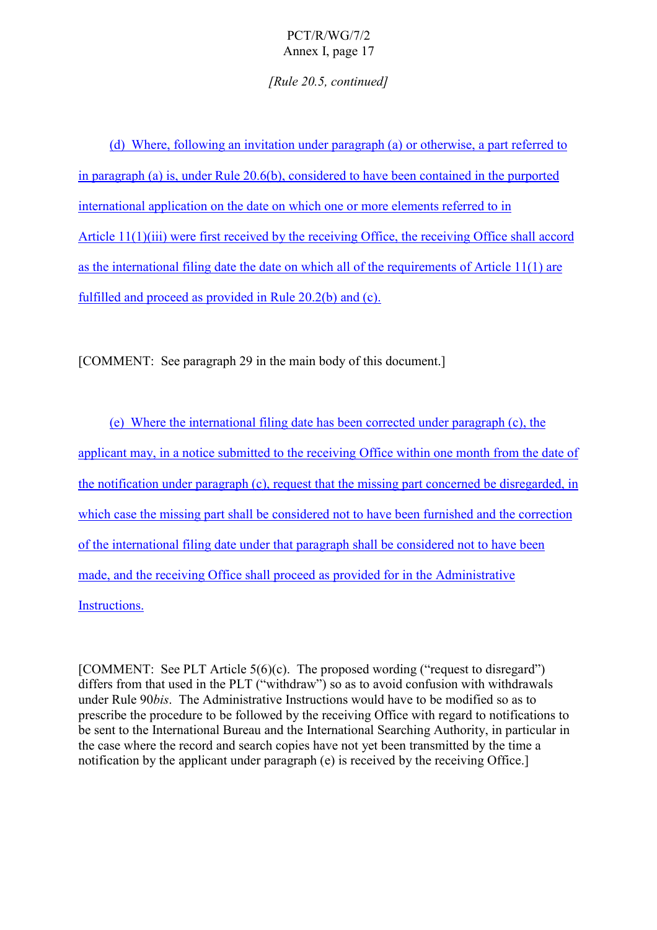*[Rule 20.5, continued]*

(d) Where, following an invitation under paragraph (a) or otherwise, a part referred to in paragraph (a) is, under Rule 20.6(b), considered to have been contained in the purported international application on the date on which one or more elements referred to in Article 11(1)(iii) were first received by the receiving Office, the receiving Office shall accord as the international filing date the date on which all of the requirements of Article 11(1) are fulfilled and proceed as provided in Rule 20.2(b) and (c).

[COMMENT: See paragraph 29 in the main body of this document.]

(e) Where the international filing date has been corrected under paragraph (c), the applicant may, in a notice submitted to the receiving Office within one month from the date of the notification under paragraph (c), request that the missing part concerned be disregarded, in which case the missing part shall be considered not to have been furnished and the correction of the international filing date under that paragraph shall be considered not to have been made, and the receiving Office shall proceed as provided for in the Administrative Instructions.

[COMMENT: See PLT Article  $5(6)(c)$ . The proposed wording ("request to disregard") differs from that used in the PLT ("withdraw") so as to avoid confusion with withdrawals under Rule 90*bis*. The Administrative Instructions would have to be modified so as to prescribe the procedure to be followed by the receiving Office with regard to notifications to be sent to the International Bureau and the International Searching Authority, in particular in the case where the record and search copies have not yet been transmitted by the time a notification by the applicant under paragraph (e) is received by the receiving Office.]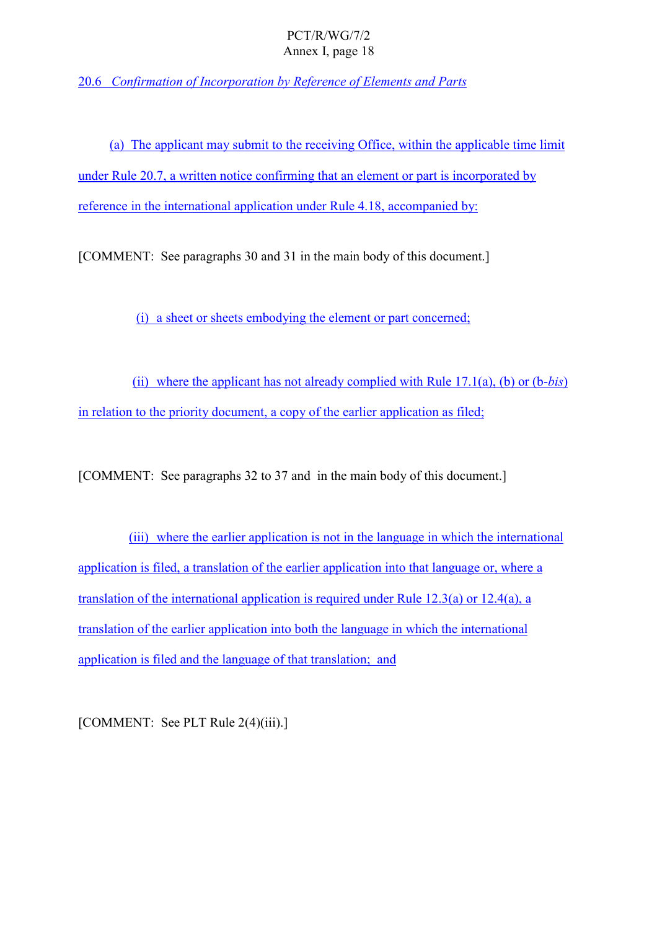20.6 *Confirmation of Incorporation by Reference of Elements and Parts*

(a) The applicant may submit to the receiving Office, within the applicable time limit under Rule 20.7, a written notice confirming that an element or part is incorporated by reference in the international application under Rule 4.18, accompanied by:

[COMMENT: See paragraphs 30 and 31 in the main body of this document.]

(i) a sheet or sheets embodying the element or part concerned;

(ii) where the applicant has not already complied with Rule 17.1(a), (b) or (b-*bis*) in relation to the priority document, a copy of the earlier application as filed;

[COMMENT: See paragraphs 32 to 37 and in the main body of this document.]

(iii) where the earlier application is not in the language in which the international application is filed, a translation of the earlier application into that language or, where a translation of the international application is required under Rule 12.3(a) or 12.4(a), a translation of the earlier application into both the language in which the international application is filed and the language of that translation; and

[COMMENT: See PLT Rule 2(4)(iii).]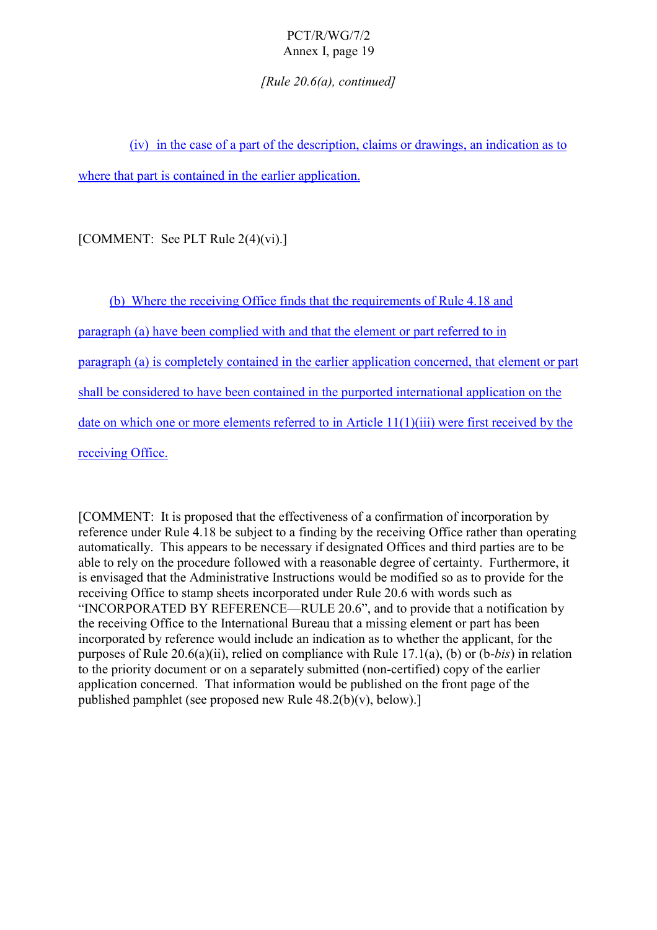*[Rule 20.6(a), continued]*

(iv) in the case of a part of the description, claims or drawings, an indication as to where that part is contained in the earlier application.

[COMMENT: See PLT Rule 2(4)(vi).]

(b) Where the receiving Office finds that the requirements of Rule 4.18 and paragraph (a) have been complied with and that the element or part referred to in paragraph (a) is completely contained in the earlier application concerned, that element or part shall be considered to have been contained in the purported international application on the date on which one or more elements referred to in Article 11(1)(iii) were first received by the receiving Office.

[COMMENT: It is proposed that the effectiveness of a confirmation of incorporation by reference under Rule 4.18 be subject to a finding by the receiving Office rather than operating automatically. This appears to be necessary if designated Offices and third parties are to be able to rely on the procedure followed with a reasonable degree of certainty. Furthermore, it is envisaged that the Administrative Instructions would be modified so as to provide for the receiving Office to stamp sheets incorporated under Rule 20.6 with words such as "INCORPORATED BY REFERENCE—RULE 20.6", and to provide that a notification by the receiving Office to the International Bureau that a missing element or part has been incorporated by reference would include an indication as to whether the applicant, for the purposes of Rule 20.6(a)(ii), relied on compliance with Rule 17.1(a), (b) or (b-*bis*) in relation to the priority document or on a separately submitted (non-certified) copy of the earlier application concerned. That information would be published on the front page of the published pamphlet (see proposed new Rule 48.2(b)(v), below).]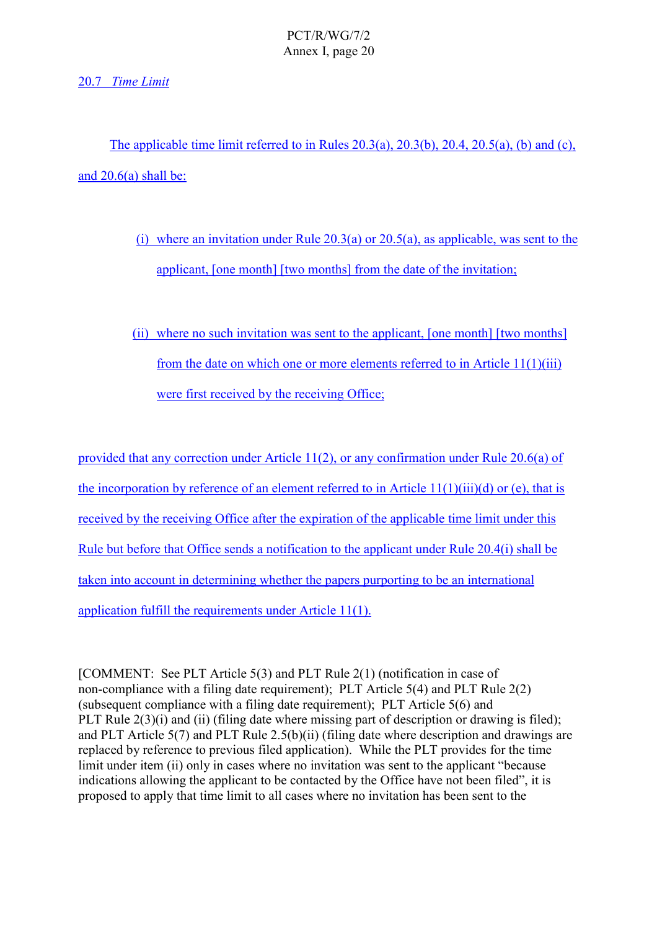## 20.7 *Time Limit*

The applicable time limit referred to in Rules  $20.3(a)$ ,  $20.3(b)$ ,  $20.4$ ,  $20.5(a)$ ,  $(b)$  and  $(c)$ , and  $20.6(a)$  shall be:

- (i) where an invitation under Rule  $20.3(a)$  or  $20.5(a)$ , as applicable, was sent to the applicant, [one month] [two months] from the date of the invitation;
- (ii) where no such invitation was sent to the applicant, [one month] [two months] from the date on which one or more elements referred to in Article 11(1)(iii) were first received by the receiving Office;

provided that any correction under Article 11(2), or any confirmation under Rule 20.6(a) of the incorporation by reference of an element referred to in Article  $11(1)(iii)(d)$  or (e), that is received by the receiving Office after the expiration of the applicable time limit under this Rule but before that Office sends a notification to the applicant under Rule 20.4(i) shall be taken into account in determining whether the papers purporting to be an international application fulfill the requirements under Article 11(1).

[COMMENT: See PLT Article 5(3) and PLT Rule 2(1) (notification in case of non-compliance with a filing date requirement); PLT Article 5(4) and PLT Rule 2(2) (subsequent compliance with a filing date requirement); PLT Article 5(6) and PLT Rule  $2(3)(i)$  and (ii) (filing date where missing part of description or drawing is filed); and PLT Article 5(7) and PLT Rule 2.5(b)(ii) (filing date where description and drawings are replaced by reference to previous filed application). While the PLT provides for the time limit under item (ii) only in cases where no invitation was sent to the applicant "because" indications allowing the applicant to be contacted by the Office have not been filed", it is proposed to apply that time limit to all cases where no invitation has been sent to the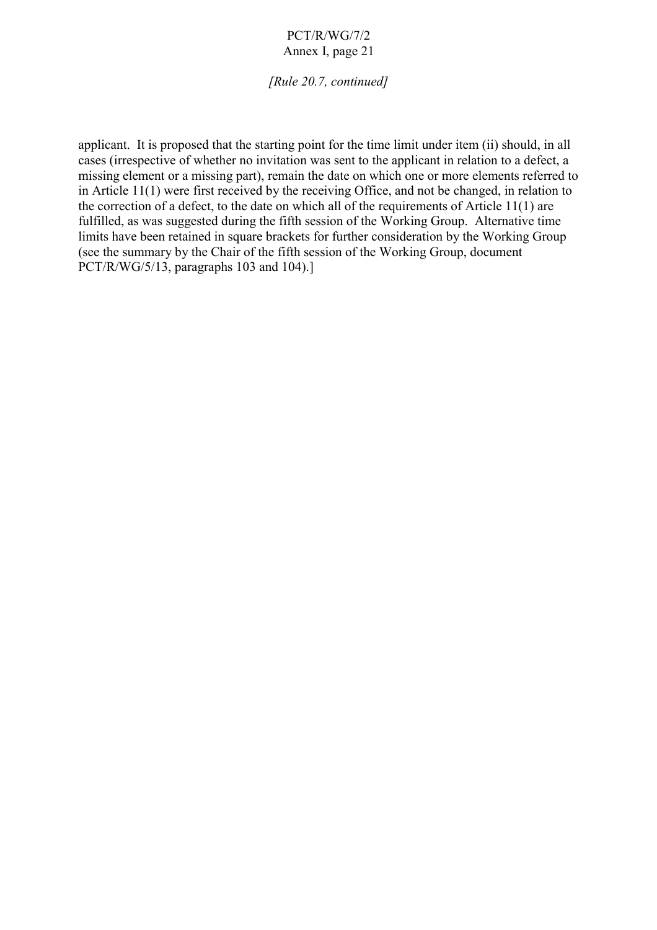*[Rule 20.7, continued]*

applicant. It is proposed that the starting point for the time limit under item (ii) should, in all cases (irrespective of whether no invitation was sent to the applicant in relation to a defect, a missing element or a missing part), remain the date on which one or more elements referred to in Article 11(1) were first received by the receiving Office, and not be changed, in relation to the correction of a defect, to the date on which all of the requirements of Article 11(1) are fulfilled, as was suggested during the fifth session of the Working Group. Alternative time limits have been retained in square brackets for further consideration by the Working Group (see the summary by the Chair of the fifth session of the Working Group, document PCT/R/WG/5/13, paragraphs 103 and 104).]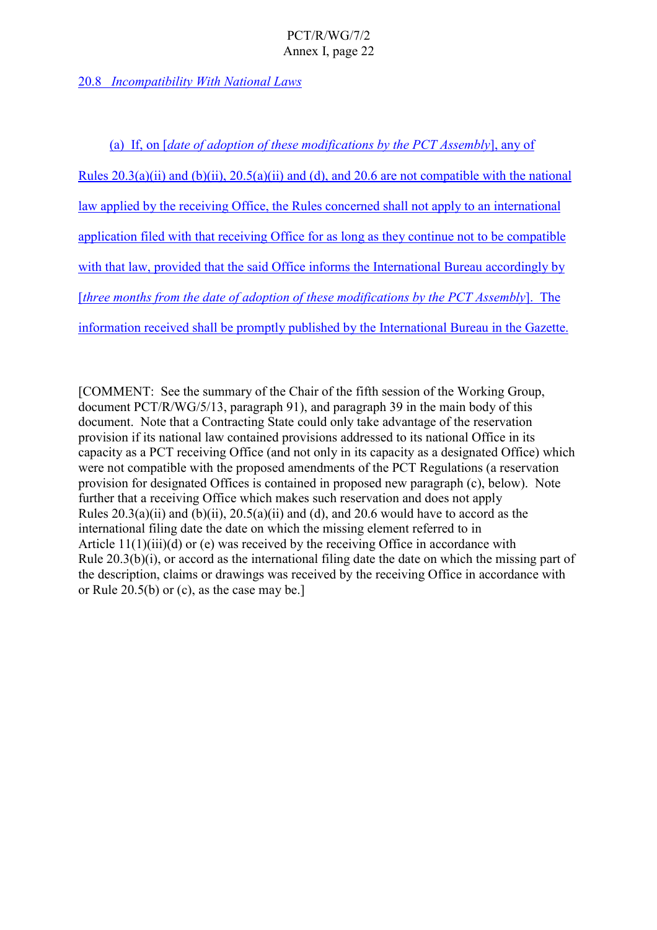## 20.8 *Incompatibility With National Laws*

(a) If, on [*date of adoption of these modifications by the PCT Assembly*], any of Rules  $20.3(a)(ii)$  and  $(b)(ii)$ ,  $20.5(a)(ii)$  and  $(d)$ , and  $20.6$  are not compatible with the national law applied by the receiving Office, the Rules concerned shall not apply to an international application filed with that receiving Office for as long as they continue not to be compatible with that law, provided that the said Office informs the International Bureau accordingly by [*three months from the date of adoption of these modifications by the PCT Assembly*]. The information received shall be promptly published by the International Bureau in the Gazette.

[COMMENT: See the summary of the Chair of the fifth session of the Working Group, document PCT/R/WG/5/13, paragraph 91), and paragraph 39 in the main body of this document. Note that a Contracting State could only take advantage of the reservation provision if its national law contained provisions addressed to its national Office in its capacity as a PCT receiving Office (and not only in its capacity as a designated Office) which were not compatible with the proposed amendments of the PCT Regulations (a reservation provision for designated Offices is contained in proposed new paragraph (c), below). Note further that a receiving Office which makes such reservation and does not apply Rules  $20.3(a)(ii)$  and  $(b)(ii)$ ,  $20.5(a)(ii)$  and  $(d)$ , and  $20.6$  would have to accord as the international filing date the date on which the missing element referred to in Article  $11(1)(iii)(d)$  or (e) was received by the receiving Office in accordance with Rule 20.3(b)(i), or accord as the international filing date the date on which the missing part of the description, claims or drawings was received by the receiving Office in accordance with or Rule 20.5(b) or (c), as the case may be.]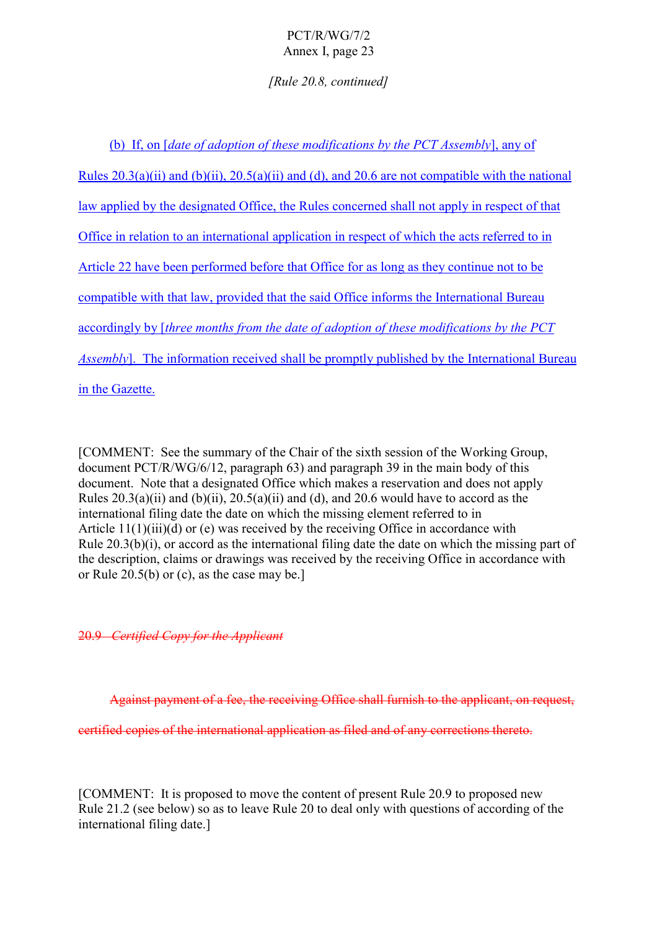*[Rule 20.8, continued]*

(b) If, on [*date of adoption of these modifications by the PCT Assembly*], any of Rules  $20.3(a)(ii)$  and  $(b)(ii)$ ,  $20.5(a)(ii)$  and  $(d)$ , and  $20.6$  are not compatible with the national law applied by the designated Office, the Rules concerned shall not apply in respect of that Office in relation to an international application in respect of which the acts referred to in Article 22 have been performed before that Office for as long as they continue not to be compatible with that law, provided that the said Office informs the International Bureau accordingly by [*three months from the date of adoption of these modifications by the PCT Assembly*]. The information received shall be promptly published by the International Bureau in the Gazette.

[COMMENT: See the summary of the Chair of the sixth session of the Working Group, document PCT/R/WG/6/12, paragraph 63) and paragraph 39 in the main body of this document. Note that a designated Office which makes a reservation and does not apply Rules  $20.3(a)(ii)$  and  $(b)(ii)$ ,  $20.5(a)(ii)$  and  $(d)$ , and  $20.6$  would have to accord as the international filing date the date on which the missing element referred to in Article  $11(1)(iii)(d)$  or (e) was received by the receiving Office in accordance with Rule 20.3(b)(i), or accord as the international filing date the date on which the missing part of the description, claims or drawings was received by the receiving Office in accordance with or Rule 20.5(b) or (c), as the case may be.]

20.9 *Certified Copy for the Applicant*

Against payment of a fee, the receiving Office shall furnish to the applicant, on request,

certified copies of the international application as filed and of any corrections thereto.

[COMMENT: It is proposed to move the content of present Rule 20.9 to proposed new Rule 21.2 (see below) so as to leave Rule 20 to deal only with questions of according of the international filing date.]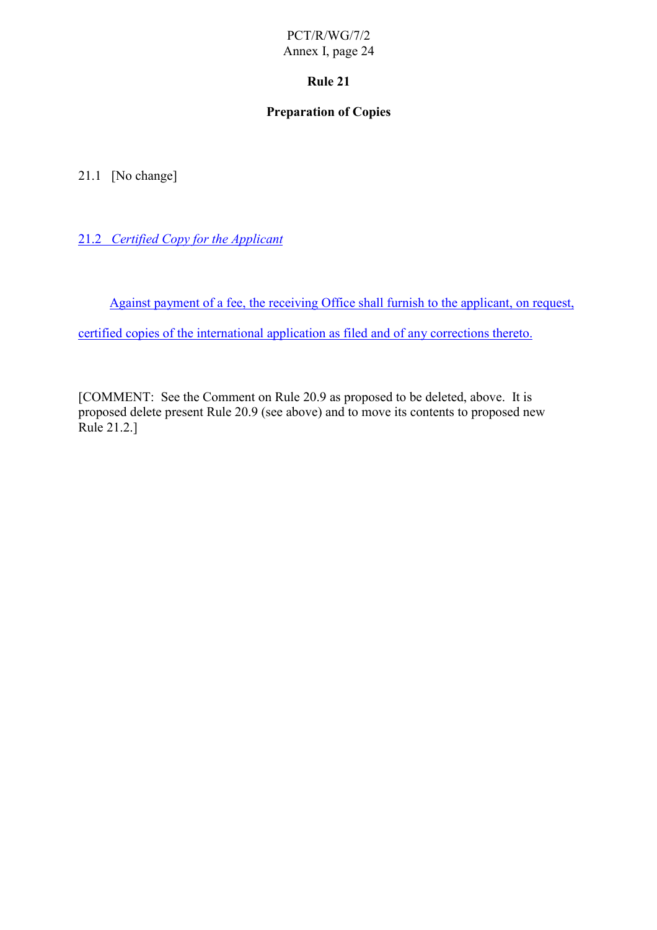## **Rule 21**

## **Preparation of Copies**

21.1 [No change]

21.2 *Certified Copy for the Applicant*

Against payment of a fee, the receiving Office shall furnish to the applicant, on request,

certified copies of the international application as filed and of any corrections thereto.

[COMMENT: See the Comment on Rule 20.9 as proposed to be deleted, above. It is proposed delete present Rule 20.9 (see above) and to move its contents to proposed new Rule 21.2.]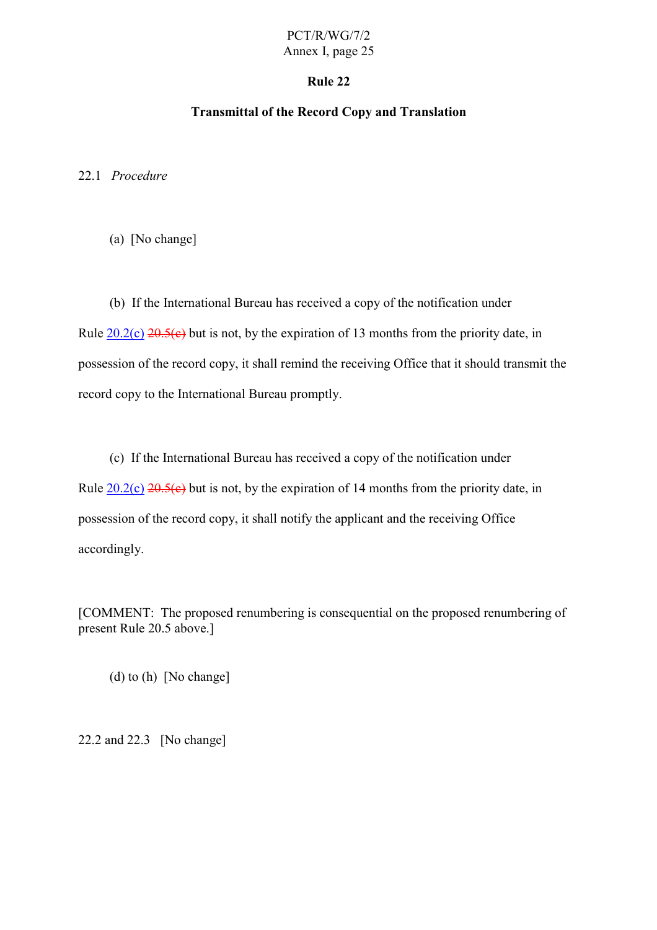#### **Rule 22**

## **Transmittal of the Record Copy and Translation**

22.1 *Procedure*

(a) [No change]

(b) If the International Bureau has received a copy of the notification under Rule  $20.2(c)$   $20.5(c)$  but is not, by the expiration of 13 months from the priority date, in possession of the record copy, it shall remind the receiving Office that it should transmit the record copy to the International Bureau promptly.

(c) If the International Bureau has received a copy of the notification under Rule  $20.2(c)$   $20.5(c)$  but is not, by the expiration of 14 months from the priority date, in possession of the record copy, it shall notify the applicant and the receiving Office accordingly.

[COMMENT: The proposed renumbering is consequential on the proposed renumbering of present Rule 20.5 above.]

(d) to (h) [No change]

22.2 and 22.3 [No change]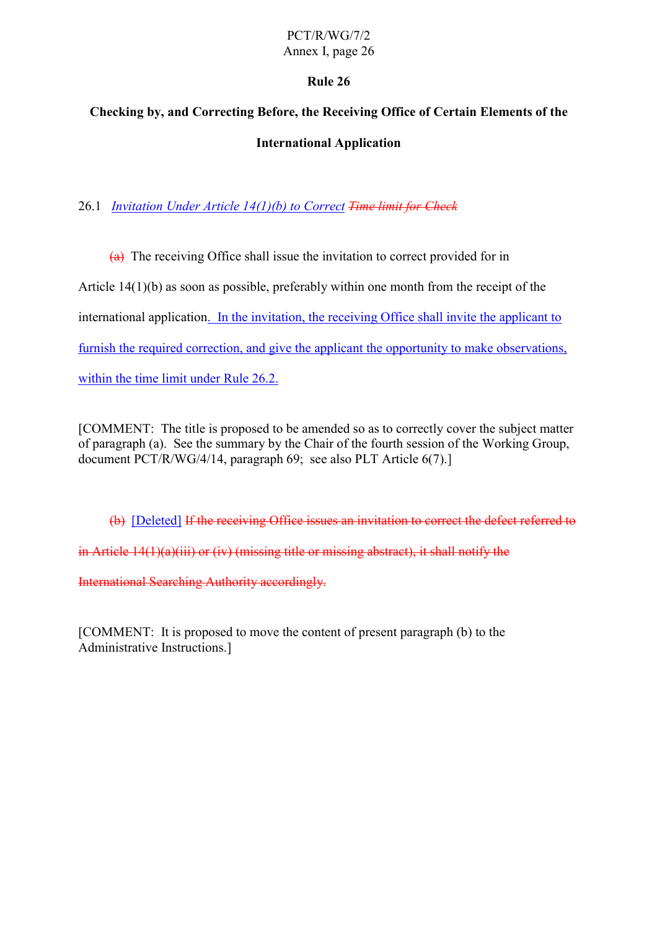## **Rule 26**

# **Checking by, and Correcting Before, the Receiving Office of Certain Elements of the International Application**

## 26.1 *Invitation Under Article 14(1)(b) to Correct Time limit for Check*

 $(a)$  The receiving Office shall issue the invitation to correct provided for in Article 14(1)(b) as soon as possible, preferably within one month from the receipt of the international application. In the invitation, the receiving Office shall invite the applicant to furnish the required correction, and give the applicant the opportunity to make observations, within the time limit under Rule 26.2.

[COMMENT: The title is proposed to be amended so as to correctly cover the subject matter of paragraph (a). See the summary by the Chair of the fourth session of the Working Group, document PCT/R/WG/4/14, paragraph 69; see also PLT Article 6(7).]

(b) [Deleted] If the receiving Office issues an invitation to correct the defect referred to

in Article 14(1)(a)(iii) or (iv) (missing title or missing abstract), it shall notify the

International Searching Authority accordingly.

[COMMENT: It is proposed to move the content of present paragraph (b) to the Administrative Instructions.]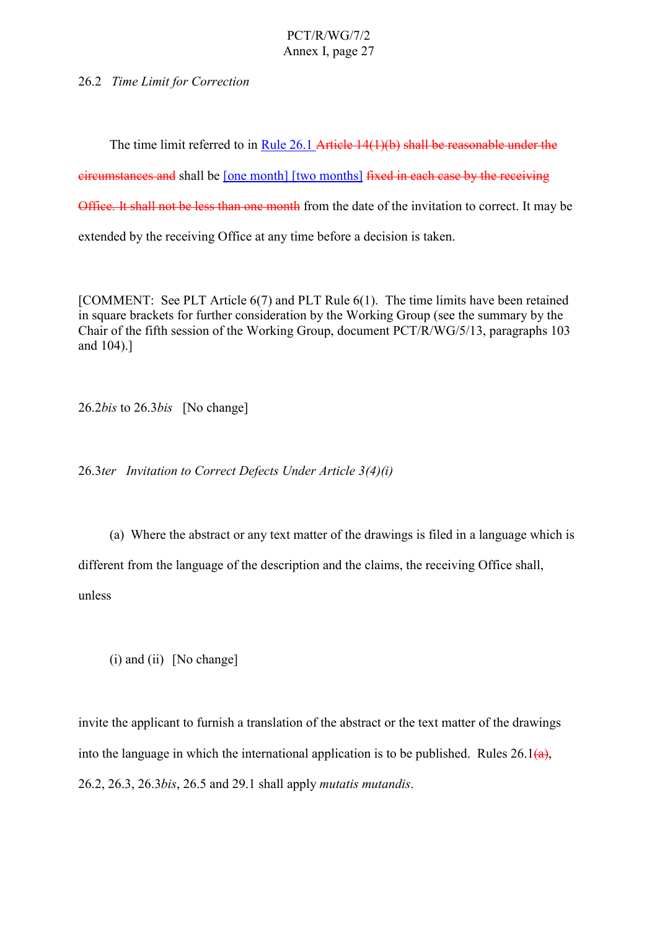26.2 *Time Limit for Correction*

The time limit referred to in Rule 26.1 Article 14(1)(b) shall be reasonable under the

circumstances and shall be [one month] [two months] fixed in each case by the receiving

Office. It shall not be less than one month from the date of the invitation to correct. It may be

extended by the receiving Office at any time before a decision is taken.

[COMMENT: See PLT Article 6(7) and PLT Rule 6(1). The time limits have been retained in square brackets for further consideration by the Working Group (see the summary by the Chair of the fifth session of the Working Group, document PCT/R/WG/5/13, paragraphs 103 and 104).]

26.2*bis* to 26.3*bis* [No change]

26.3*ter Invitation to Correct Defects Under Article 3(4)(i)*

(a) Where the abstract or any text matter of the drawings is filed in a language which is different from the language of the description and the claims, the receiving Office shall, unless

 $(i)$  and  $(ii)$  [No change]

invite the applicant to furnish a translation of the abstract or the text matter of the drawings into the language in which the international application is to be published. Rules  $26.1(a)$ , 26.2, 26.3, 26.3*bis*, 26.5 and 29.1 shall apply *mutatis mutandis*.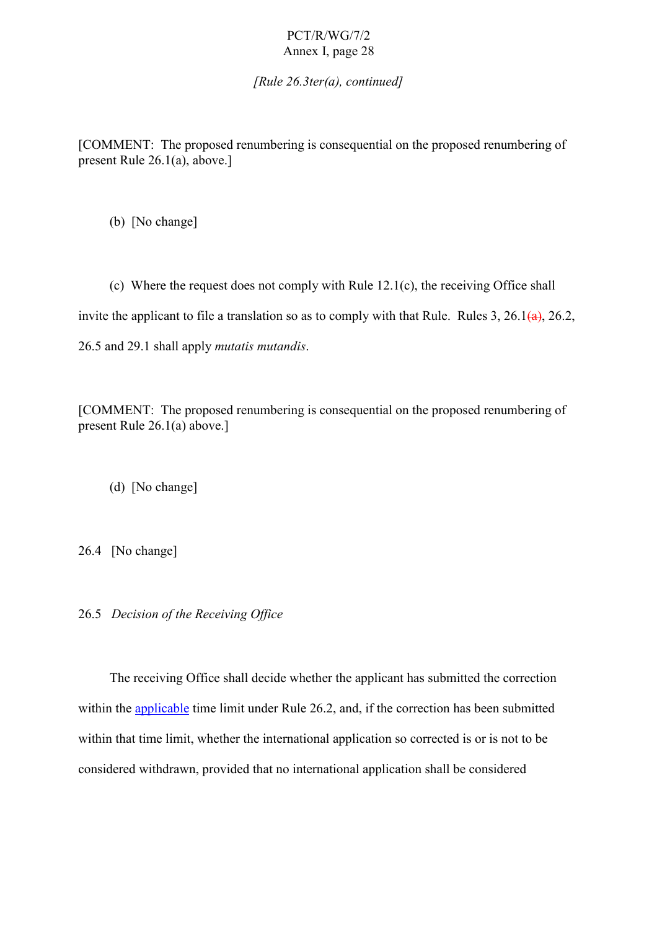*[Rule 26.3ter(a), continued]*

[COMMENT: The proposed renumbering is consequential on the proposed renumbering of present Rule 26.1(a), above.]

(b) [No change]

(c) Where the request does not comply with Rule 12.1(c), the receiving Office shall invite the applicant to file a translation so as to comply with that Rule. Rules 3, 26.1 $\left(\frac{a}{a}\right)$ , 26.2, 26.5 and 29.1 shall apply *mutatis mutandis*.

[COMMENT: The proposed renumbering is consequential on the proposed renumbering of present Rule 26.1(a) above.]

(d) [No change]

26.4 [No change]

26.5 *Decision of the Receiving Office*

The receiving Office shall decide whether the applicant has submitted the correction within the applicable time limit under Rule 26.2, and, if the correction has been submitted within that time limit, whether the international application so corrected is or is not to be considered withdrawn, provided that no international application shall be considered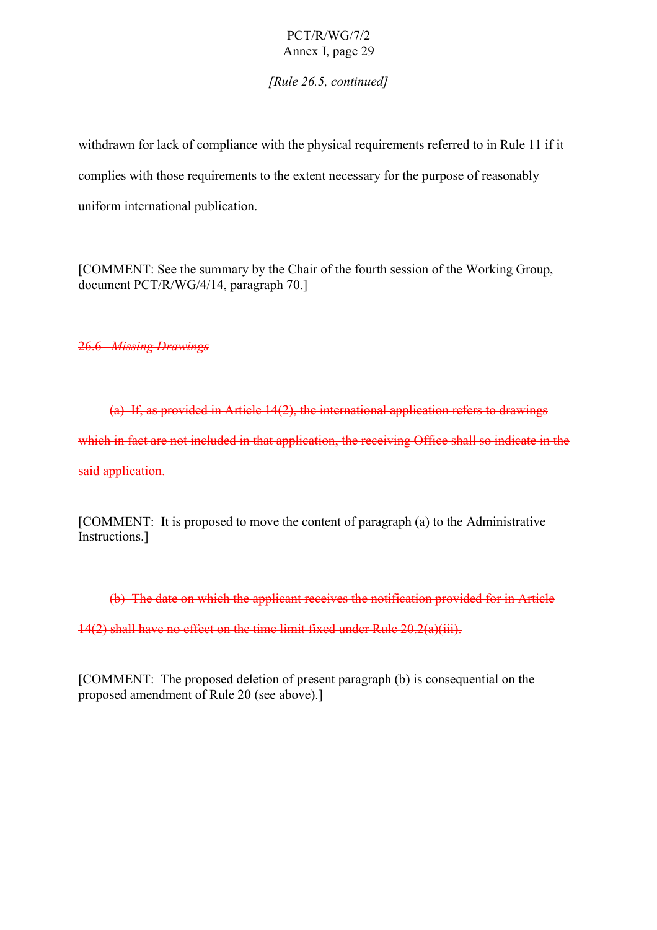*[Rule 26.5, continued]*

withdrawn for lack of compliance with the physical requirements referred to in Rule 11 if it complies with those requirements to the extent necessary for the purpose of reasonably uniform international publication.

[COMMENT: See the summary by the Chair of the fourth session of the Working Group, document PCT/R/WG/4/14, paragraph 70.]

26.6 *Missing Drawings*

(a) If, as provided in Article 14(2), the international application refers to drawings which in fact are not included in that application, the receiving Office shall so indicate in the said application.

[COMMENT: It is proposed to move the content of paragraph (a) to the Administrative Instructions.]

(b) The date on which the applicant receives the notification provided for in Article 14(2) shall have no effect on the time limit fixed under Rule 20.2(a)(iii).

[COMMENT: The proposed deletion of present paragraph (b) is consequential on the proposed amendment of Rule 20 (see above).]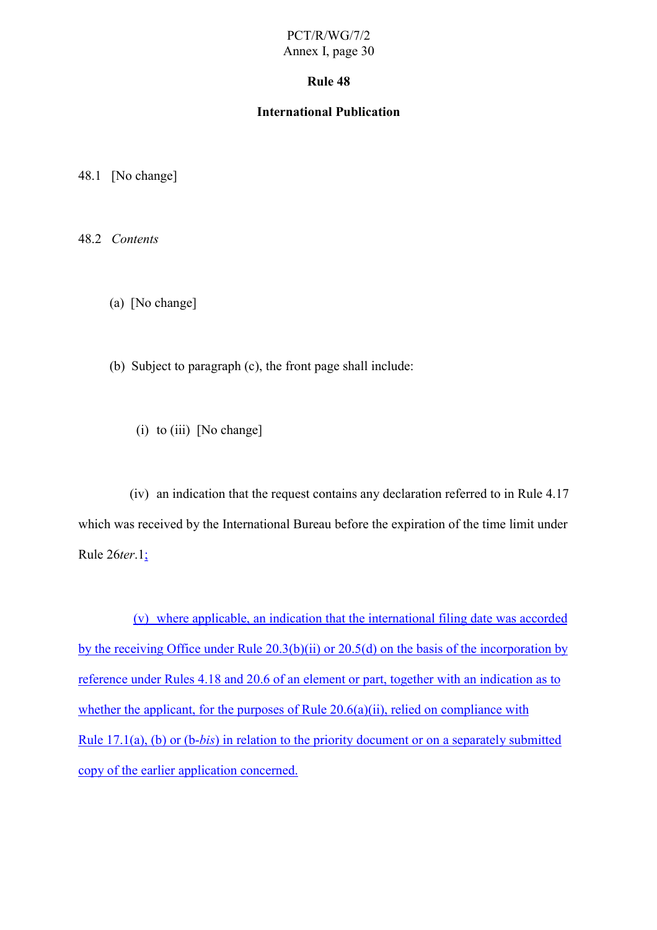#### **Rule 48**

#### **International Publication**

48.1 [No change]

48.2 *Contents*

(a) [No change]

(b) Subject to paragraph (c), the front page shall include:

(i) to (iii)  $[No change]$ 

(iv) an indication that the request contains any declaration referred to in Rule 4.17 which was received by the International Bureau before the expiration of the time limit under Rule 26*ter*.1;

(v) where applicable, an indication that the international filing date was accorded by the receiving Office under Rule 20.3(b)(ii) or 20.5(d) on the basis of the incorporation by reference under Rules 4.18 and 20.6 of an element or part, together with an indication as to whether the applicant, for the purposes of Rule 20.6(a)(ii), relied on compliance with Rule 17.1(a), (b) or (b-*bis*) in relation to the priority document or on a separately submitted copy of the earlier application concerned.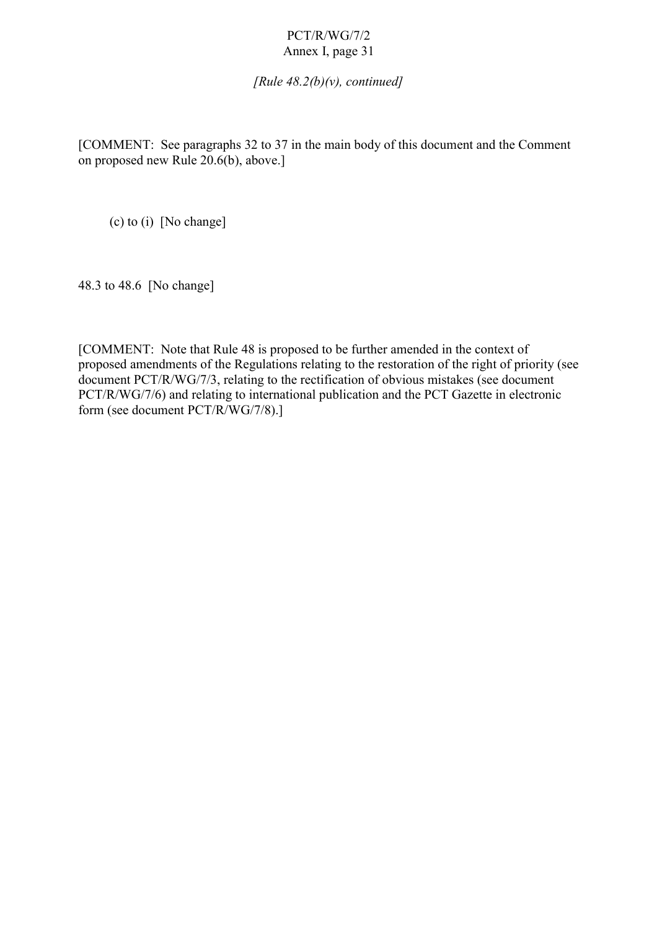*[Rule 48.2(b)(v), continued]*

[COMMENT: See paragraphs 32 to 37 in the main body of this document and the Comment on proposed new Rule 20.6(b), above.]

(c) to (i) [No change]

48.3 to 48.6 [No change]

[COMMENT: Note that Rule 48 is proposed to be further amended in the context of proposed amendments of the Regulations relating to the restoration of the right of priority (see document PCT/R/WG/7/3, relating to the rectification of obvious mistakes (see document PCT/R/WG/7/6) and relating to international publication and the PCT Gazette in electronic form (see document PCT/R/WG/7/8).]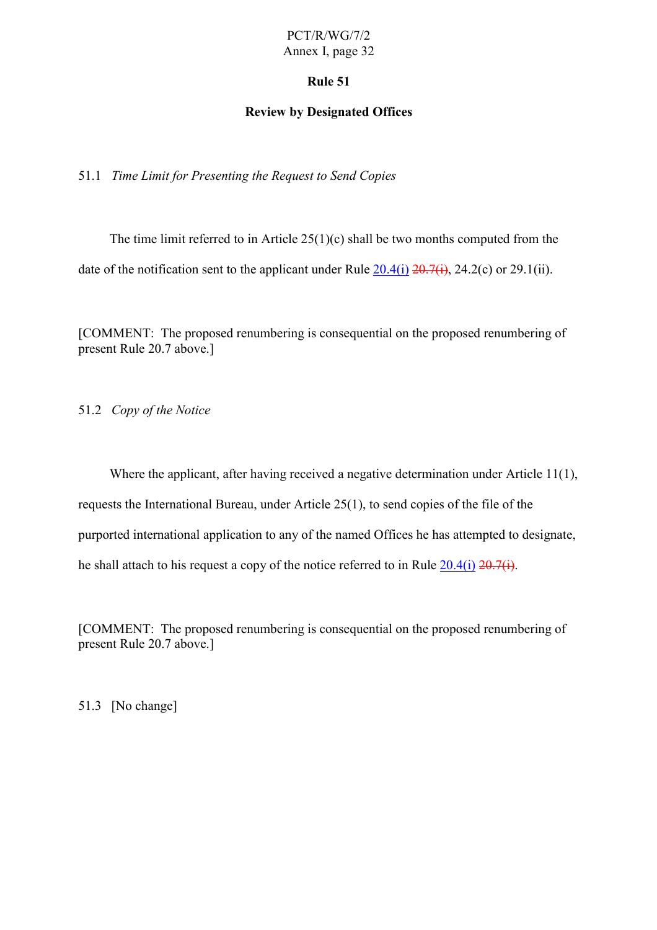#### **Rule 51**

#### **Review by Designated Offices**

51.1 *Time Limit for Presenting the Request to Send Copies*

The time limit referred to in Article  $25(1)(c)$  shall be two months computed from the date of the notification sent to the applicant under Rule  $20.4(i)$   $20.7(i)$ ,  $24.2(c)$  or  $29.1(ii)$ .

[COMMENT: The proposed renumbering is consequential on the proposed renumbering of present Rule 20.7 above.]

51.2 *Copy of the Notice*

Where the applicant, after having received a negative determination under Article 11(1), requests the International Bureau, under Article 25(1), to send copies of the file of the purported international application to any of the named Offices he has attempted to designate, he shall attach to his request a copy of the notice referred to in Rule  $20.4(i)$   $\overline{20.7(i)}$ .

[COMMENT: The proposed renumbering is consequential on the proposed renumbering of present Rule 20.7 above.]

51.3 [No change]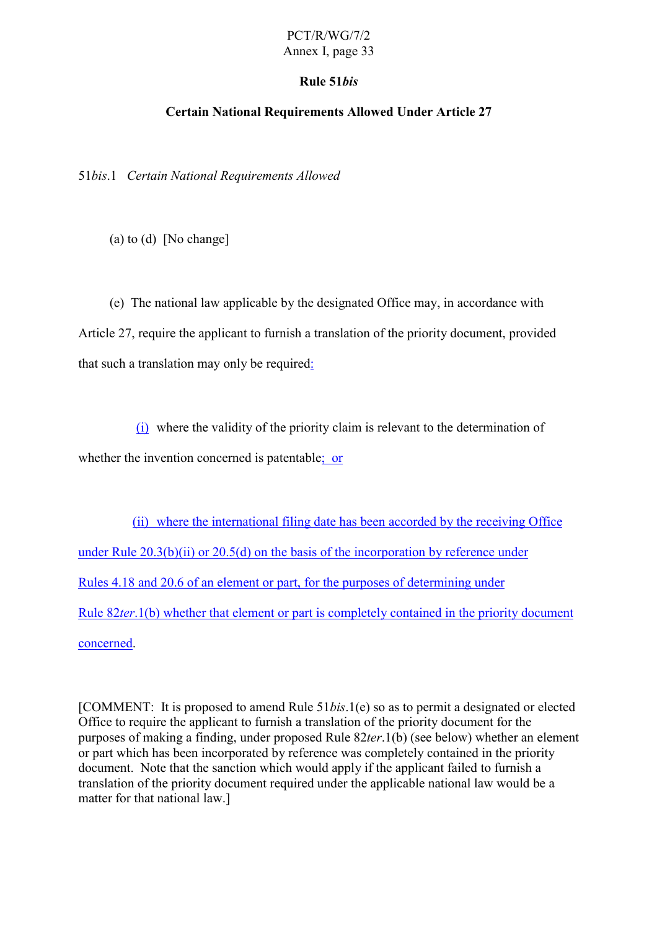#### **Rule 51***bis*

#### **Certain National Requirements Allowed Under Article 27**

51*bis*.1 *Certain National Requirements Allowed*

(a) to (d) [No change]

(e) The national law applicable by the designated Office may, in accordance with Article 27, require the applicant to furnish a translation of the priority document, provided that such a translation may only be required:

(i) where the validity of the priority claim is relevant to the determination of whether the invention concerned is patentable; or

(ii) where the international filing date has been accorded by the receiving Office under Rule  $20.3(b)(ii)$  or  $20.5(d)$  on the basis of the incorporation by reference under Rules 4.18 and 20.6 of an element or part, for the purposes of determining under Rule 82*ter*.1(b) whether that element or part is completely contained in the priority document concerned.

[COMMENT: It is proposed to amend Rule 51*bis*.1(e) so as to permit a designated or elected Office to require the applicant to furnish a translation of the priority document for the purposes of making a finding, under proposed Rule 82*ter*.1(b) (see below) whether an element or part which has been incorporated by reference was completely contained in the priority document. Note that the sanction which would apply if the applicant failed to furnish a translation of the priority document required under the applicable national law would be a matter for that national law.]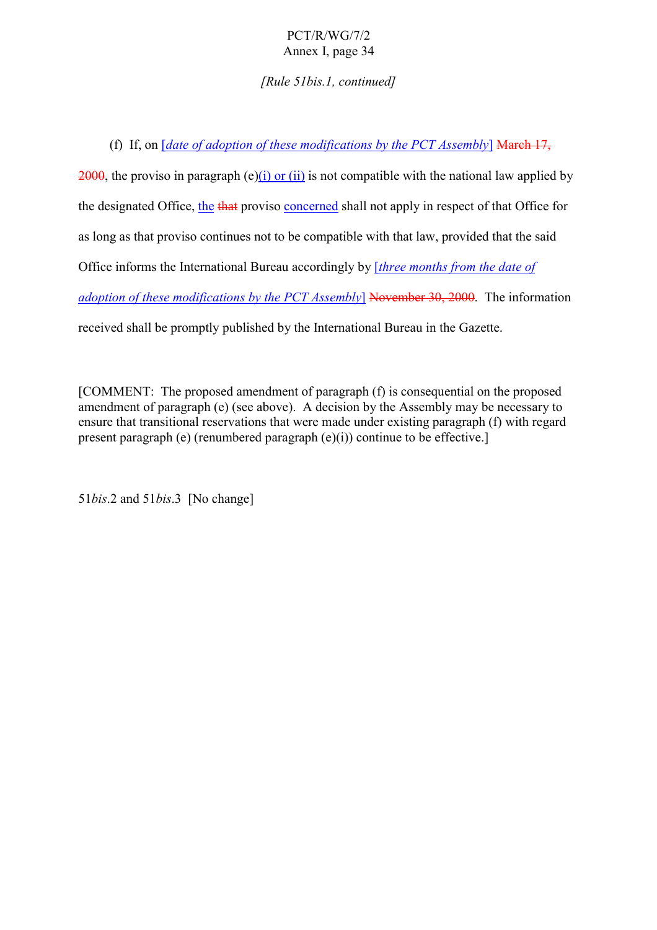*[Rule 51bis.1, continued]*

(f) If, on [*date of adoption of these modifications by the PCT Assembly*] March 17,

2000, the proviso in paragraph (e)(i) or (ii) is not compatible with the national law applied by the designated Office, the that proviso concerned shall not apply in respect of that Office for as long as that proviso continues not to be compatible with that law, provided that the said Office informs the International Bureau accordingly by [*three months from the date of adoption of these modifications by the PCT Assembly*] November 30, 2000. The information received shall be promptly published by the International Bureau in the Gazette.

[COMMENT: The proposed amendment of paragraph (f) is consequential on the proposed amendment of paragraph (e) (see above). A decision by the Assembly may be necessary to ensure that transitional reservations that were made under existing paragraph (f) with regard present paragraph (e) (renumbered paragraph (e)(i)) continue to be effective.]

51*bis*.2 and 51*bis*.3 [No change]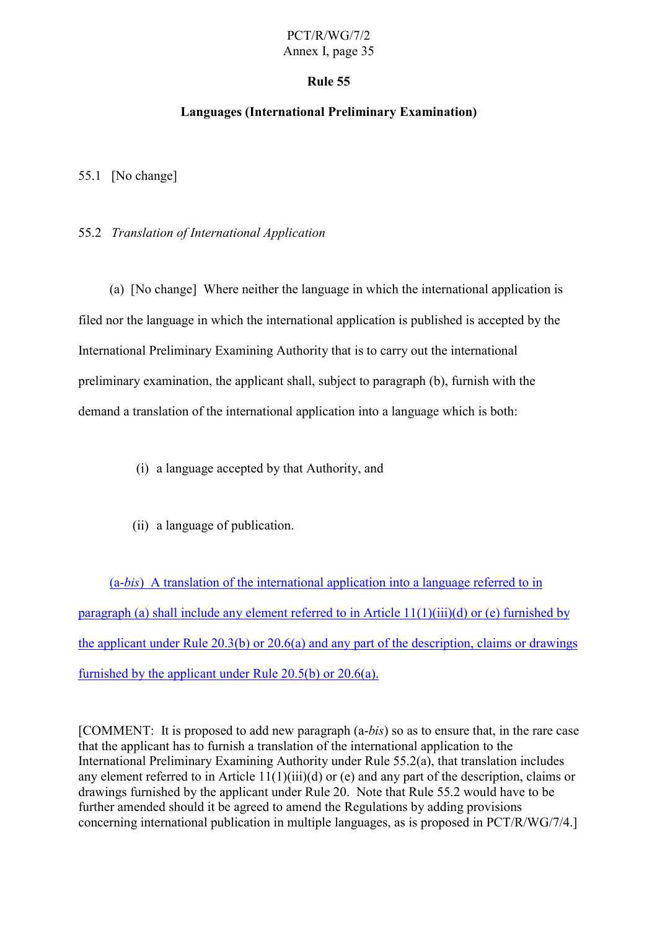#### **Rule 55**

#### **Languages (International Preliminary Examination)**

55.1 [No change]

#### 55.2 *Translation of International Application*

(a) [No change] Where neither the language in which the international application is filed nor the language in which the international application is published is accepted by the International Preliminary Examining Authority that is to carry out the international preliminary examination, the applicant shall, subject to paragraph (b), furnish with the demand a translation of the international application into a language which is both:

- (i) a language accepted by that Authority, and
- (ii) a language of publication.

(a-*bis*) A translation of the international application into a language referred to in paragraph (a) shall include any element referred to in Article 11(1)(iii)(d) or (e) furnished by the applicant under Rule 20.3(b) or 20.6(a) and any part of the description, claims or drawings furnished by the applicant under Rule 20.5(b) or 20.6(a).

[COMMENT: It is proposed to add new paragraph (a-*bis*) so as to ensure that, in the rare case that the applicant has to furnish a translation of the international application to the International Preliminary Examining Authority under Rule 55.2(a), that translation includes any element referred to in Article 11(1)(iii)(d) or (e) and any part of the description, claims or drawings furnished by the applicant under Rule 20. Note that Rule 55.2 would have to be further amended should it be agreed to amend the Regulations by adding provisions concerning international publication in multiple languages, as is proposed in PCT/R/WG/7/4.]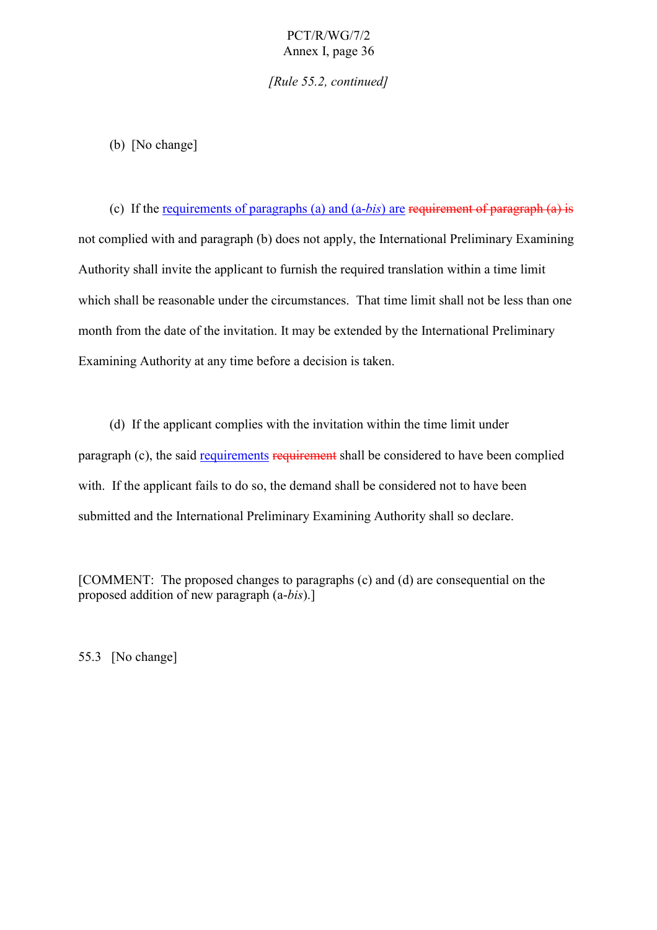*[Rule 55.2, continued]*

(b) [No change]

(c) If the requirements of paragraphs (a) and (a-*bis*) are requirement of paragraph (a) is not complied with and paragraph (b) does not apply, the International Preliminary Examining Authority shall invite the applicant to furnish the required translation within a time limit which shall be reasonable under the circumstances. That time limit shall not be less than one month from the date of the invitation. It may be extended by the International Preliminary Examining Authority at any time before a decision is taken.

(d) If the applicant complies with the invitation within the time limit under paragraph (c), the said requirements requirement shall be considered to have been complied with. If the applicant fails to do so, the demand shall be considered not to have been submitted and the International Preliminary Examining Authority shall so declare.

[COMMENT: The proposed changes to paragraphs (c) and (d) are consequential on the proposed addition of new paragraph (a-*bis*).]

55.3 [No change]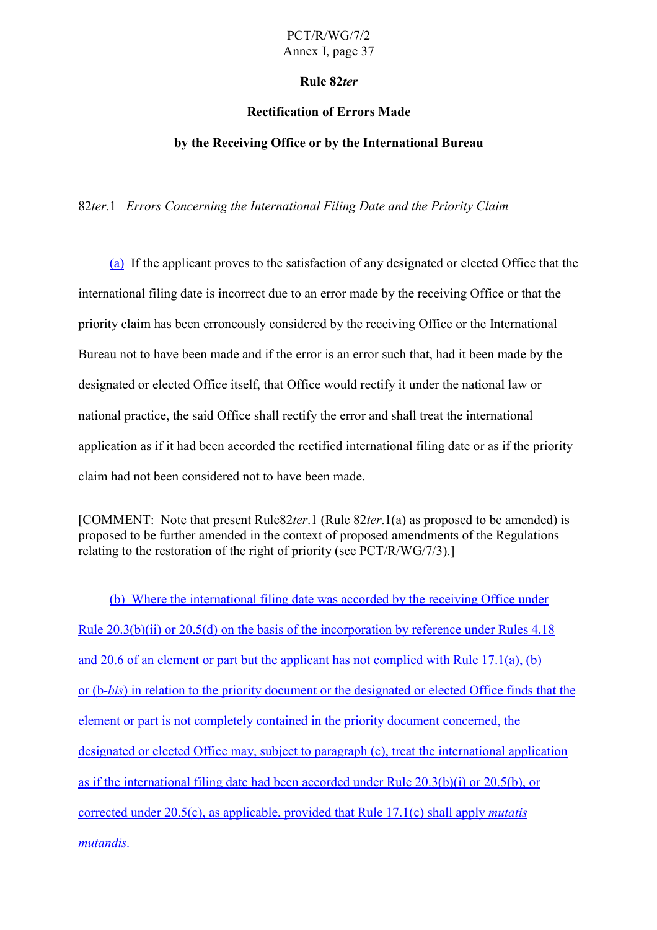#### **Rule 82***ter*

#### **Rectification of Errors Made**

#### **by the Receiving Office or by the International Bureau**

82*ter*.1 *Errors Concerning the International Filing Date and the Priority Claim*

(a) If the applicant proves to the satisfaction of any designated or elected Office that the international filing date is incorrect due to an error made by the receiving Office or that the priority claim has been erroneously considered by the receiving Office or the International Bureau not to have been made and if the error is an error such that, had it been made by the designated or elected Office itself, that Office would rectify it under the national law or national practice, the said Office shall rectify the error and shall treat the international application as if it had been accorded the rectified international filing date or as if the priority claim had not been considered not to have been made.

[COMMENT: Note that present Rule82*ter*.1 (Rule 82*ter*.1(a) as proposed to be amended) is proposed to be further amended in the context of proposed amendments of the Regulations relating to the restoration of the right of priority (see PCT/R/WG/7/3).]

(b) Where the international filing date was accorded by the receiving Office under Rule 20.3(b)(ii) or 20.5(d) on the basis of the incorporation by reference under Rules 4.18 and 20.6 of an element or part but the applicant has not complied with Rule 17.1(a), (b) or (b-*bis*) in relation to the priority document or the designated or elected Office finds that the element or part is not completely contained in the priority document concerned, the designated or elected Office may, subject to paragraph (c), treat the international application as if the international filing date had been accorded under Rule 20.3(b)(i) or 20.5(b), or corrected under 20.5(c), as applicable, provided that Rule 17.1(c) shall apply *mutatis mutandis.*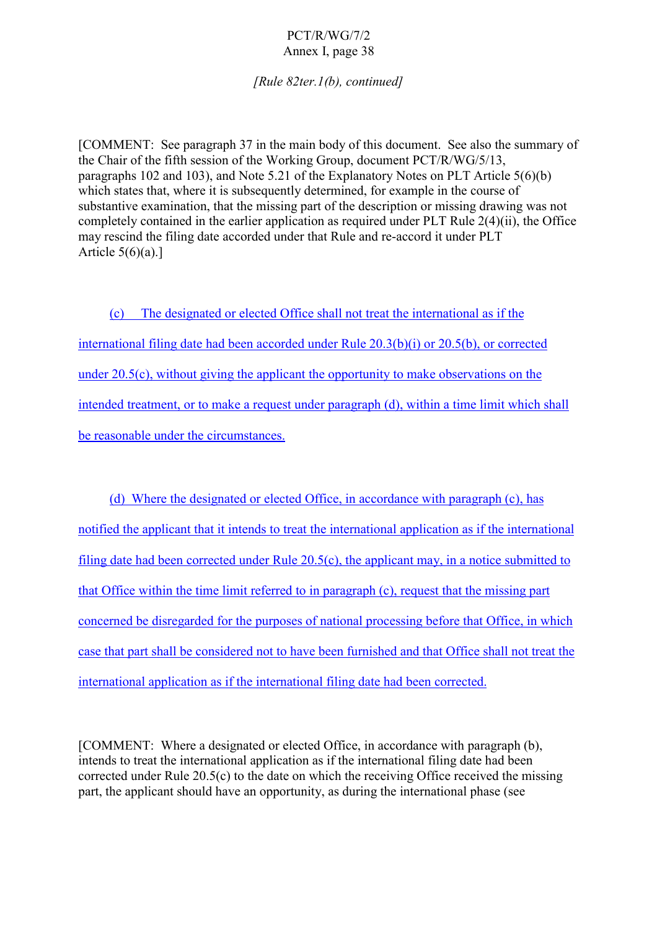*[Rule 82ter.1(b), continued]*

[COMMENT: See paragraph 37 in the main body of this document. See also the summary of the Chair of the fifth session of the Working Group, document PCT/R/WG/5/13, paragraphs 102 and 103), and Note 5.21 of the Explanatory Notes on PLT Article 5(6)(b) which states that, where it is subsequently determined, for example in the course of substantive examination, that the missing part of the description or missing drawing was not completely contained in the earlier application as required under PLT Rule 2(4)(ii), the Office may rescind the filing date accorded under that Rule and re-accord it under PLT Article  $5(6)(a)$ .]

(c) The designated or elected Office shall not treat the international as if the international filing date had been accorded under Rule 20.3(b)(i) or 20.5(b), or corrected under 20.5(c), without giving the applicant the opportunity to make observations on the intended treatment, or to make a request under paragraph (d), within a time limit which shall be reasonable under the circumstances.

(d) Where the designated or elected Office, in accordance with paragraph (c), has notified the applicant that it intends to treat the international application as if the international filing date had been corrected under Rule 20.5(c), the applicant may, in a notice submitted to that Office within the time limit referred to in paragraph (c), request that the missing part concerned be disregarded for the purposes of national processing before that Office, in which case that part shall be considered not to have been furnished and that Office shall not treat the international application as if the international filing date had been corrected.

[COMMENT: Where a designated or elected Office, in accordance with paragraph (b), intends to treat the international application as if the international filing date had been corrected under Rule 20.5(c) to the date on which the receiving Office received the missing part, the applicant should have an opportunity, as during the international phase (see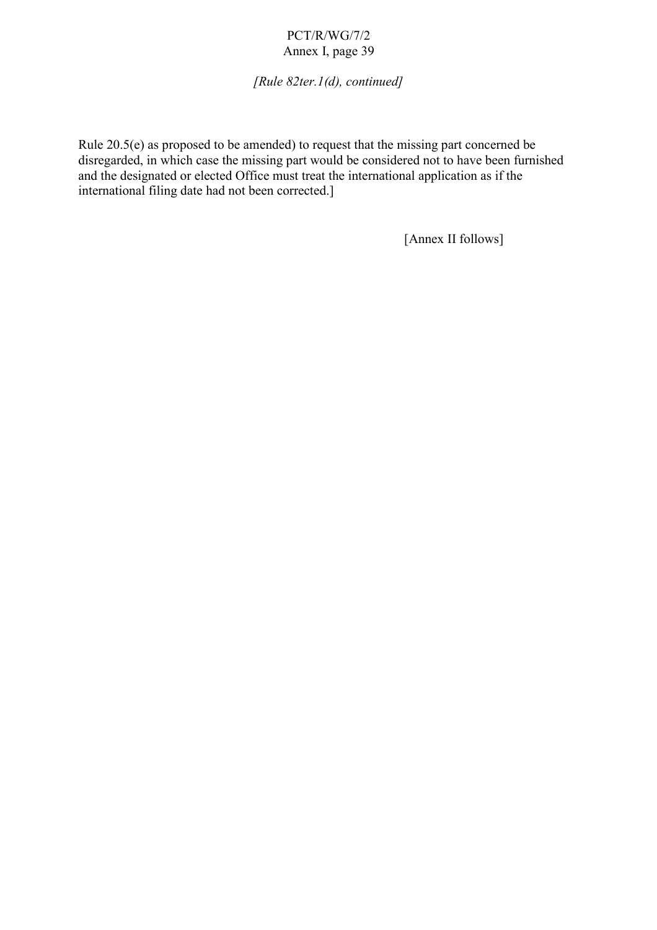*[Rule 82ter.1(d), continued]*

Rule 20.5(e) as proposed to be amended) to request that the missing part concerned be disregarded, in which case the missing part would be considered not to have been furnished and the designated or elected Office must treat the international application as if the international filing date had not been corrected.]

[Annex II follows]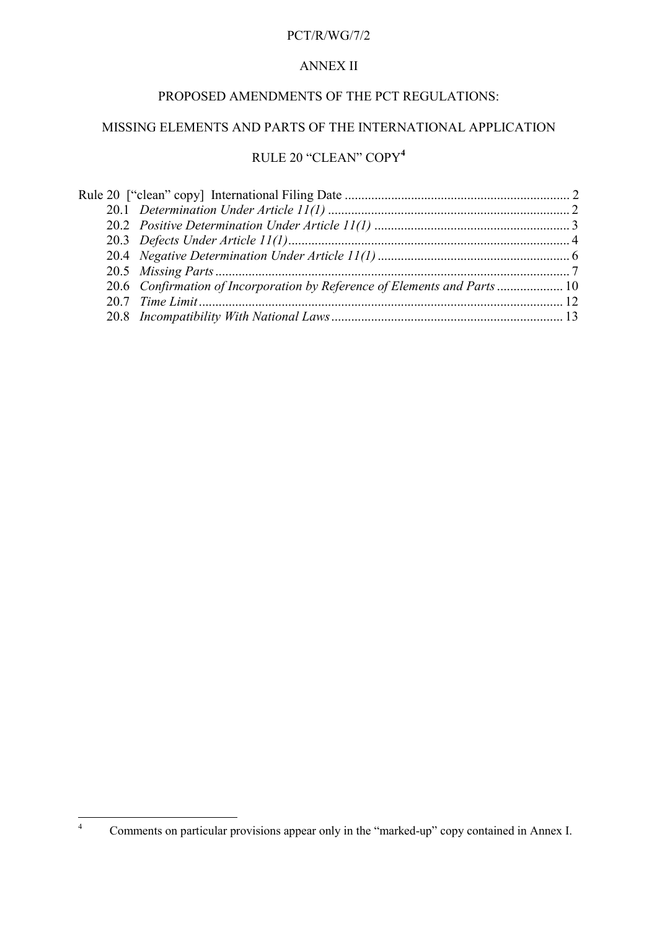## PCT/R/WG/7/2

## ANNEX II

## PROPOSED AMENDMENTS OF THE PCT REGULATIONS:

## MISSING ELEMENTS AND PARTS OF THE INTERNATIONAL APPLICATION

# RULE 20 "CLEAN" COPY**<sup>4</sup>**

| 20.6 Confirmation of Incorporation by Reference of Elements and Parts  10 |  |
|---------------------------------------------------------------------------|--|
|                                                                           |  |
|                                                                           |  |
|                                                                           |  |

 $\overline{4}$ <sup>4</sup> Comments on particular provisions appear only in the "marked-up" copy contained in Annex I.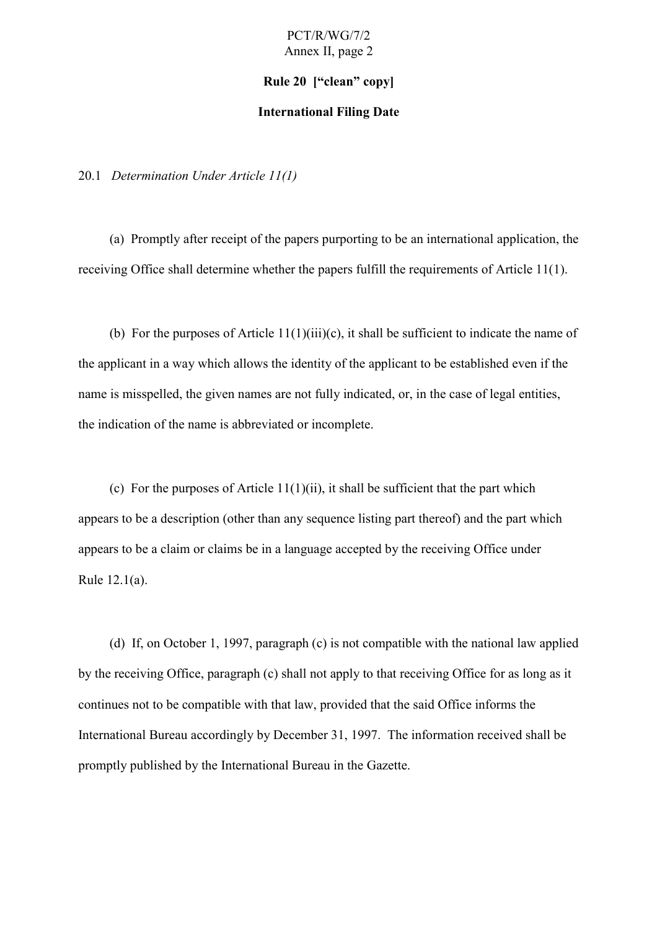#### **Rule 20 ["clean" copy]**

#### **International Filing Date**

20.1 *Determination Under Article 11(1)*

(a) Promptly after receipt of the papers purporting to be an international application, the receiving Office shall determine whether the papers fulfill the requirements of Article 11(1).

(b) For the purposes of Article  $11(1)(iii)(c)$ , it shall be sufficient to indicate the name of the applicant in a way which allows the identity of the applicant to be established even if the name is misspelled, the given names are not fully indicated, or, in the case of legal entities, the indication of the name is abbreviated or incomplete.

(c) For the purposes of Article  $11(1)(ii)$ , it shall be sufficient that the part which appears to be a description (other than any sequence listing part thereof) and the part which appears to be a claim or claims be in a language accepted by the receiving Office under Rule 12.1(a).

(d) If, on October 1, 1997, paragraph (c) is not compatible with the national law applied by the receiving Office, paragraph (c) shall not apply to that receiving Office for as long as it continues not to be compatible with that law, provided that the said Office informs the International Bureau accordingly by December 31, 1997. The information received shall be promptly published by the International Bureau in the Gazette.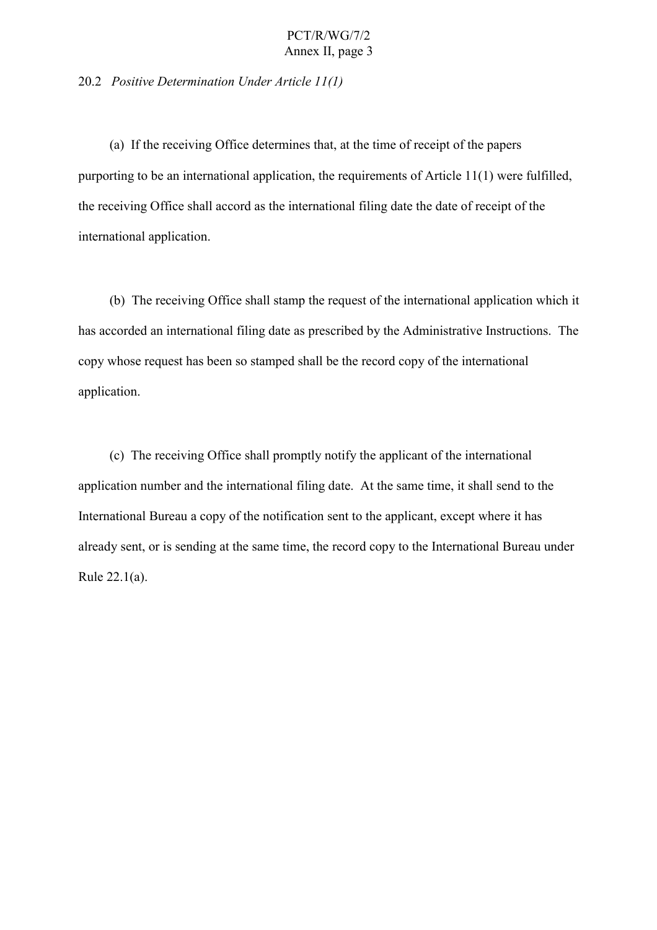#### 20.2 *Positive Determination Under Article 11(1)*

(a) If the receiving Office determines that, at the time of receipt of the papers purporting to be an international application, the requirements of Article 11(1) were fulfilled, the receiving Office shall accord as the international filing date the date of receipt of the international application.

(b) The receiving Office shall stamp the request of the international application which it has accorded an international filing date as prescribed by the Administrative Instructions. The copy whose request has been so stamped shall be the record copy of the international application.

(c) The receiving Office shall promptly notify the applicant of the international application number and the international filing date. At the same time, it shall send to the International Bureau a copy of the notification sent to the applicant, except where it has already sent, or is sending at the same time, the record copy to the International Bureau under Rule 22.1(a).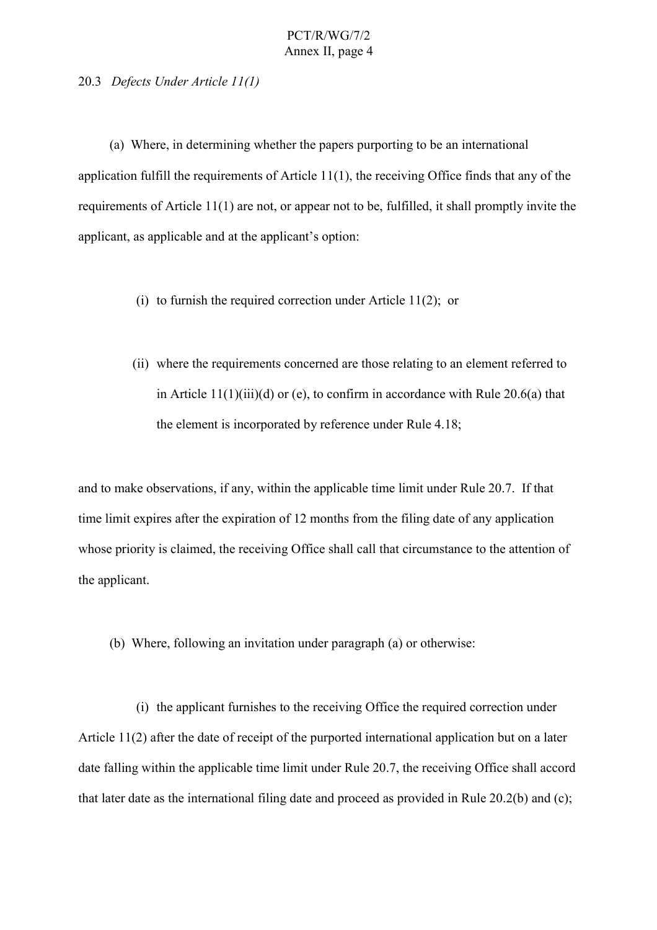20.3 *Defects Under Article 11(1)*

(a) Where, in determining whether the papers purporting to be an international application fulfill the requirements of Article 11(1), the receiving Office finds that any of the requirements of Article 11(1) are not, or appear not to be, fulfilled, it shall promptly invite the applicant, as applicable and at the applicant's option:

- (i) to furnish the required correction under Article 11(2); or
- (ii) where the requirements concerned are those relating to an element referred to in Article 11(1)(iii)(d) or (e), to confirm in accordance with Rule 20.6(a) that the element is incorporated by reference under Rule 4.18;

and to make observations, if any, within the applicable time limit under Rule 20.7. If that time limit expires after the expiration of 12 months from the filing date of any application whose priority is claimed, the receiving Office shall call that circumstance to the attention of the applicant.

(b) Where, following an invitation under paragraph (a) or otherwise:

(i) the applicant furnishes to the receiving Office the required correction under Article 11(2) after the date of receipt of the purported international application but on a later date falling within the applicable time limit under Rule 20.7, the receiving Office shall accord that later date as the international filing date and proceed as provided in Rule 20.2(b) and (c);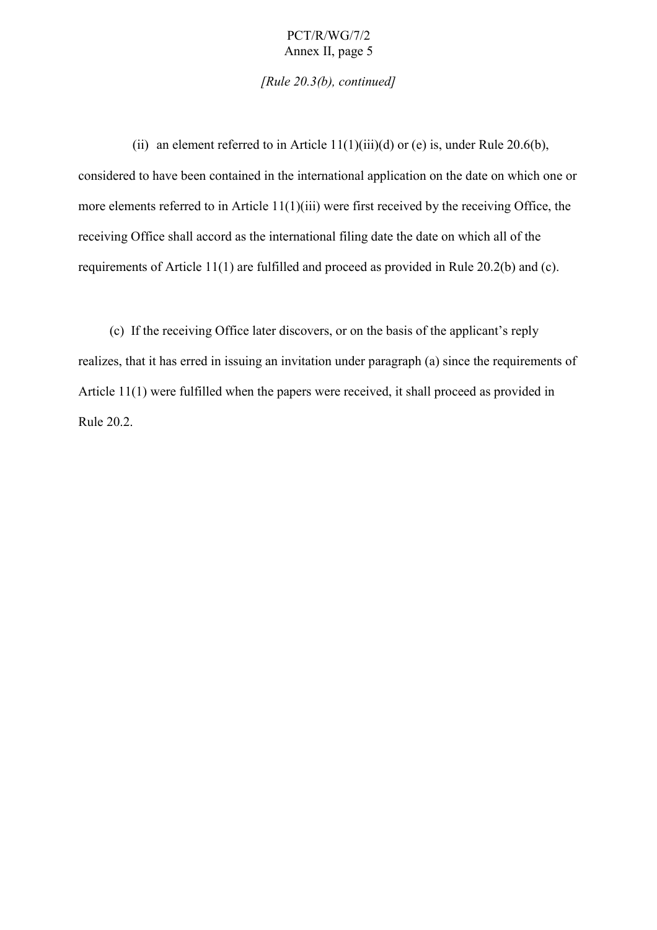*[Rule 20.3(b), continued]*

(ii) an element referred to in Article  $11(1)(iii)(d)$  or (e) is, under Rule 20.6(b), considered to have been contained in the international application on the date on which one or more elements referred to in Article 11(1)(iii) were first received by the receiving Office, the receiving Office shall accord as the international filing date the date on which all of the requirements of Article 11(1) are fulfilled and proceed as provided in Rule 20.2(b) and (c).

(c) If the receiving Office later discovers, or on the basis of the applicant's reply realizes, that it has erred in issuing an invitation under paragraph (a) since the requirements of Article 11(1) were fulfilled when the papers were received, it shall proceed as provided in Rule 20.2.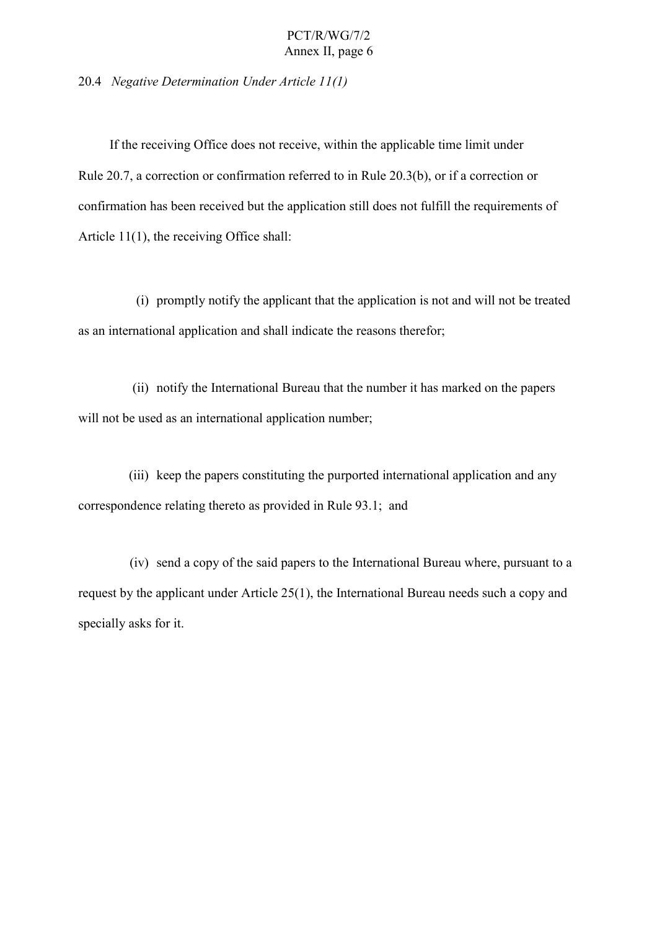20.4 *Negative Determination Under Article 11(1)*

If the receiving Office does not receive, within the applicable time limit under Rule 20.7, a correction or confirmation referred to in Rule 20.3(b), or if a correction or confirmation has been received but the application still does not fulfill the requirements of Article 11(1), the receiving Office shall:

(i) promptly notify the applicant that the application is not and will not be treated as an international application and shall indicate the reasons therefor;

(ii) notify the International Bureau that the number it has marked on the papers will not be used as an international application number;

(iii) keep the papers constituting the purported international application and any correspondence relating thereto as provided in Rule 93.1; and

(iv) send a copy of the said papers to the International Bureau where, pursuant to a request by the applicant under Article 25(1), the International Bureau needs such a copy and specially asks for it.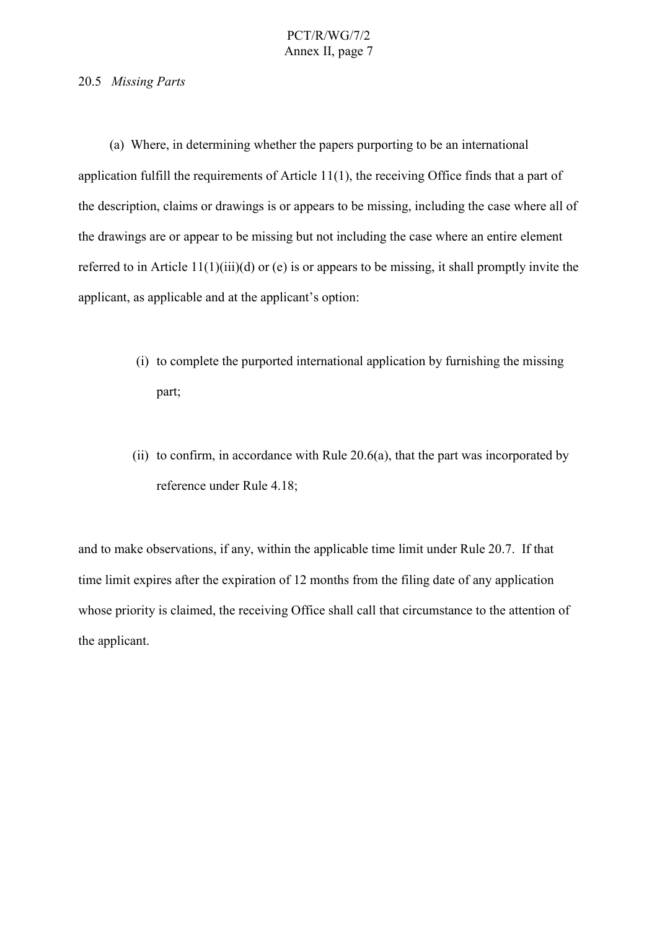#### 20.5 *Missing Parts*

(a) Where, in determining whether the papers purporting to be an international application fulfill the requirements of Article 11(1), the receiving Office finds that a part of the description, claims or drawings is or appears to be missing, including the case where all of the drawings are or appear to be missing but not including the case where an entire element referred to in Article 11(1)(iii)(d) or (e) is or appears to be missing, it shall promptly invite the applicant, as applicable and at the applicant's option:

- (i) to complete the purported international application by furnishing the missing part;
- (ii) to confirm, in accordance with Rule 20.6(a), that the part was incorporated by reference under Rule 4.18;

and to make observations, if any, within the applicable time limit under Rule 20.7. If that time limit expires after the expiration of 12 months from the filing date of any application whose priority is claimed, the receiving Office shall call that circumstance to the attention of the applicant.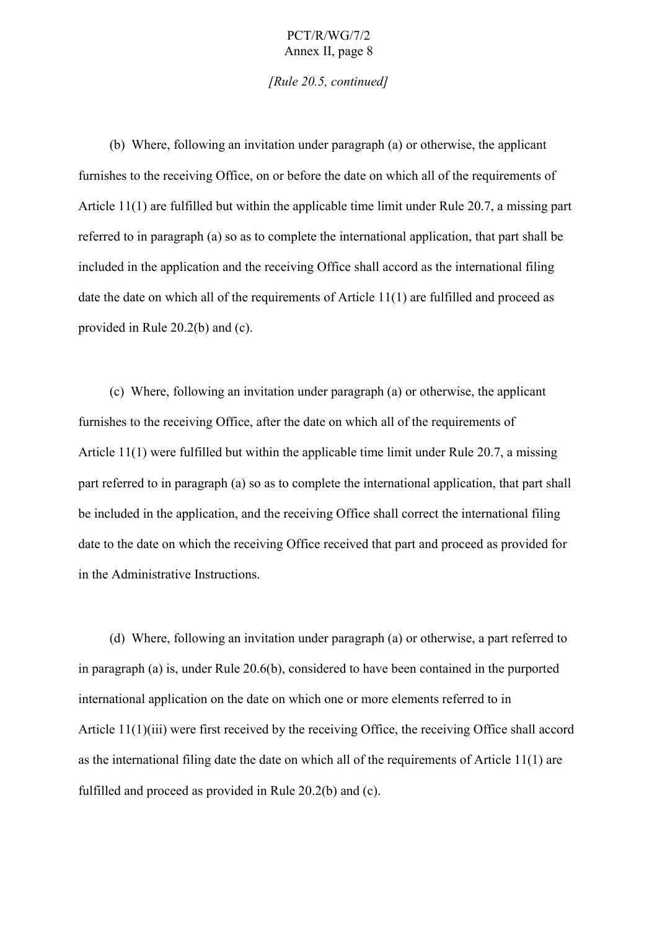*[Rule 20.5, continued]*

(b) Where, following an invitation under paragraph (a) or otherwise, the applicant furnishes to the receiving Office, on or before the date on which all of the requirements of Article 11(1) are fulfilled but within the applicable time limit under Rule 20.7, a missing part referred to in paragraph (a) so as to complete the international application, that part shall be included in the application and the receiving Office shall accord as the international filing date the date on which all of the requirements of Article 11(1) are fulfilled and proceed as provided in Rule 20.2(b) and (c).

(c) Where, following an invitation under paragraph (a) or otherwise, the applicant furnishes to the receiving Office, after the date on which all of the requirements of Article 11(1) were fulfilled but within the applicable time limit under Rule 20.7, a missing part referred to in paragraph (a) so as to complete the international application, that part shall be included in the application, and the receiving Office shall correct the international filing date to the date on which the receiving Office received that part and proceed as provided for in the Administrative Instructions.

(d) Where, following an invitation under paragraph (a) or otherwise, a part referred to in paragraph (a) is, under Rule 20.6(b), considered to have been contained in the purported international application on the date on which one or more elements referred to in Article 11(1)(iii) were first received by the receiving Office, the receiving Office shall accord as the international filing date the date on which all of the requirements of Article 11(1) are fulfilled and proceed as provided in Rule 20.2(b) and (c).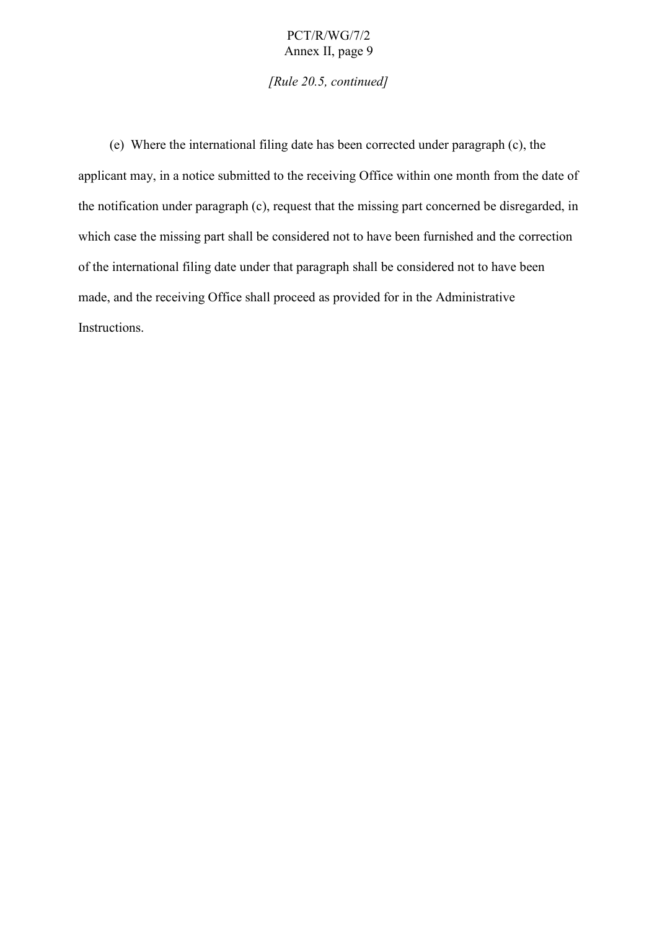*[Rule 20.5, continued]*

(e) Where the international filing date has been corrected under paragraph (c), the applicant may, in a notice submitted to the receiving Office within one month from the date of the notification under paragraph (c), request that the missing part concerned be disregarded, in which case the missing part shall be considered not to have been furnished and the correction of the international filing date under that paragraph shall be considered not to have been made, and the receiving Office shall proceed as provided for in the Administrative Instructions.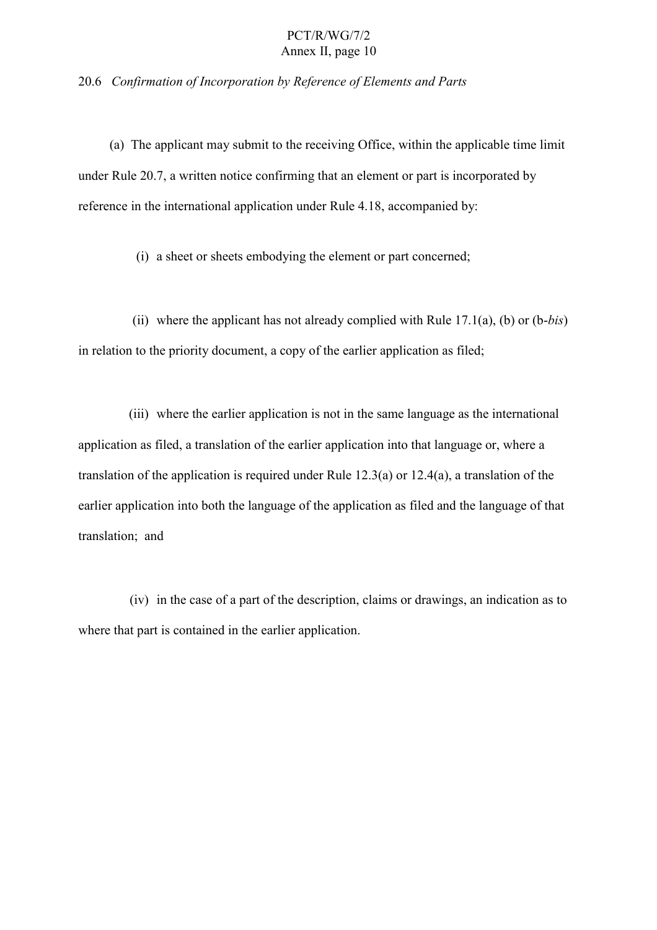#### 20.6 *Confirmation of Incorporation by Reference of Elements and Parts*

(a) The applicant may submit to the receiving Office, within the applicable time limit under Rule 20.7, a written notice confirming that an element or part is incorporated by reference in the international application under Rule 4.18, accompanied by:

(i) a sheet or sheets embodying the element or part concerned;

(ii) where the applicant has not already complied with Rule 17.1(a), (b) or (b-*bis*) in relation to the priority document, a copy of the earlier application as filed;

(iii) where the earlier application is not in the same language as the international application as filed, a translation of the earlier application into that language or, where a translation of the application is required under Rule 12.3(a) or 12.4(a), a translation of the earlier application into both the language of the application as filed and the language of that translation; and

(iv) in the case of a part of the description, claims or drawings, an indication as to where that part is contained in the earlier application.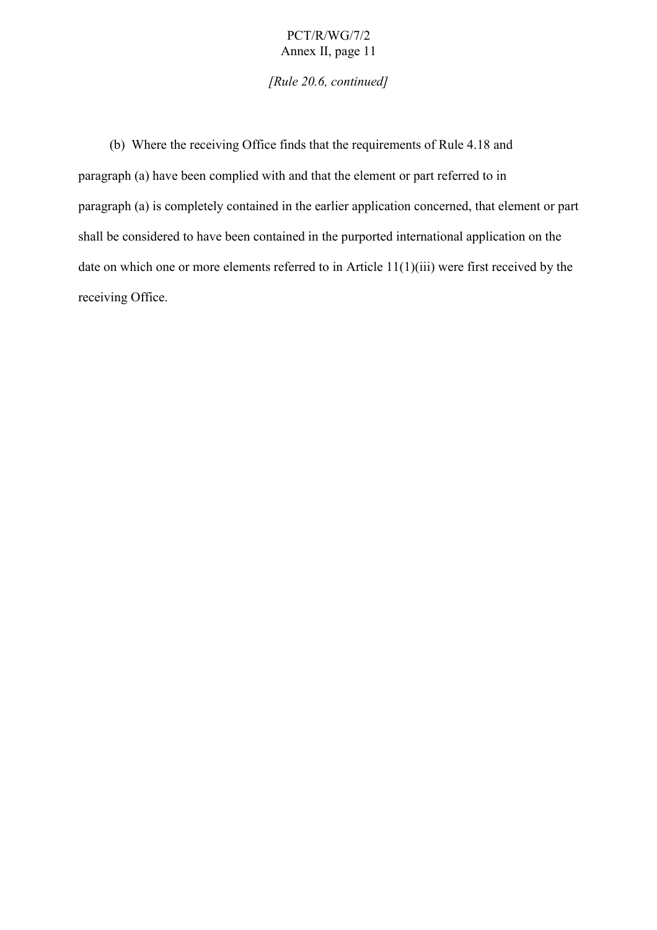*[Rule 20.6, continued]*

(b) Where the receiving Office finds that the requirements of Rule 4.18 and paragraph (a) have been complied with and that the element or part referred to in paragraph (a) is completely contained in the earlier application concerned, that element or part shall be considered to have been contained in the purported international application on the date on which one or more elements referred to in Article 11(1)(iii) were first received by the receiving Office.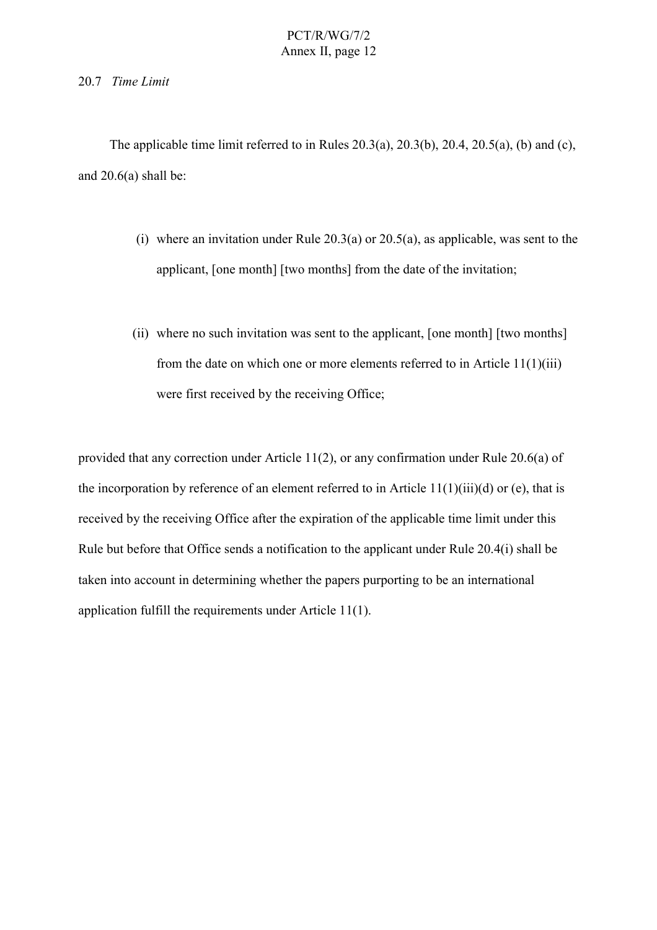#### 20.7 *Time Limit*

The applicable time limit referred to in Rules  $20.3(a)$ ,  $20.3(b)$ ,  $20.4$ ,  $20.5(a)$ , (b) and (c), and  $20.6(a)$  shall be:

- (i) where an invitation under Rule  $20.3(a)$  or  $20.5(a)$ , as applicable, was sent to the applicant, [one month] [two months] from the date of the invitation;
- (ii) where no such invitation was sent to the applicant, [one month] [two months] from the date on which one or more elements referred to in Article 11(1)(iii) were first received by the receiving Office;

provided that any correction under Article 11(2), or any confirmation under Rule 20.6(a) of the incorporation by reference of an element referred to in Article  $11(1)(iii)(d)$  or (e), that is received by the receiving Office after the expiration of the applicable time limit under this Rule but before that Office sends a notification to the applicant under Rule 20.4(i) shall be taken into account in determining whether the papers purporting to be an international application fulfill the requirements under Article 11(1).